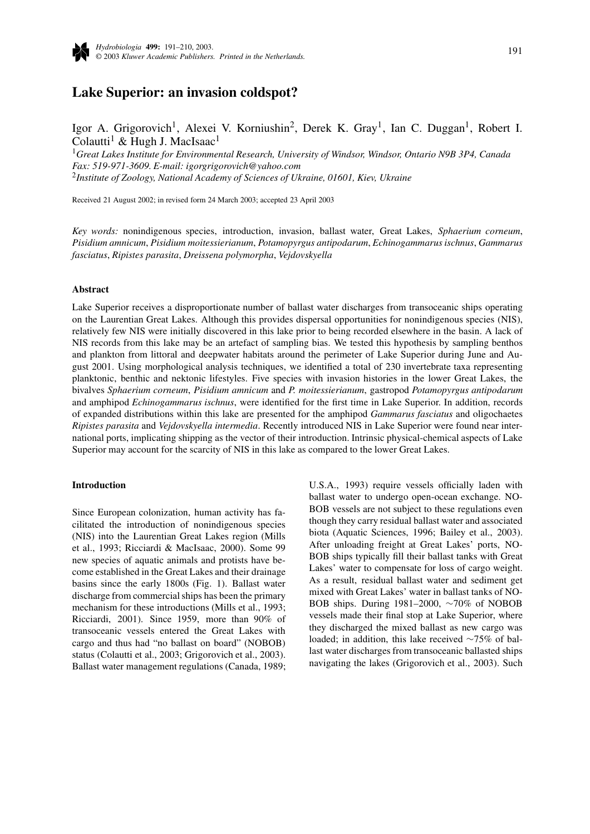# **Lake Superior: an invasion coldspot?**

Igor A. Grigorovich<sup>1</sup>, Alexei V. Korniushin<sup>2</sup>, Derek K. Gray<sup>1</sup>, Ian C. Duggan<sup>1</sup>, Robert I. Colautti<sup>1</sup> & Hugh J. MacIsaac<sup>1</sup>

<sup>1</sup>*Great Lakes Institute for Environmental Research, University of Windsor, Windsor, Ontario N9B 3P4, Canada Fax: 519-971-3609. E-mail: igorgrigorovich@yahoo.com* <sup>2</sup>*Institute of Zoology, National Academy of Sciences of Ukraine, 01601, Kiev, Ukraine*

Received 21 August 2002; in revised form 24 March 2003; accepted 23 April 2003

*Key words:* nonindigenous species, introduction, invasion, ballast water, Great Lakes, *Sphaerium corneum*, *Pisidium amnicum*, *Pisidium moitessierianum*, *Potamopyrgus antipodarum*, *Echinogammarus ischnus*, *Gammarus fasciatus*, *Ripistes parasita*, *Dreissena polymorpha*, *Vejdovskyella*

## **Abstract**

Lake Superior receives a disproportionate number of ballast water discharges from transoceanic ships operating on the Laurentian Great Lakes. Although this provides dispersal opportunities for nonindigenous species (NIS), relatively few NIS were initially discovered in this lake prior to being recorded elsewhere in the basin. A lack of NIS records from this lake may be an artefact of sampling bias. We tested this hypothesis by sampling benthos and plankton from littoral and deepwater habitats around the perimeter of Lake Superior during June and August 2001. Using morphological analysis techniques, we identified a total of 230 invertebrate taxa representing planktonic, benthic and nektonic lifestyles. Five species with invasion histories in the lower Great Lakes, the bivalves *Sphaerium corneum*, *Pisidium amnicum* and *P. moitessierianum*, gastropod *Potamopyrgus antipodarum* and amphipod *Echinogammarus ischnus*, were identified for the first time in Lake Superior. In addition, records of expanded distributions within this lake are presented for the amphipod *Gammarus fasciatus* and oligochaetes *Ripistes parasita* and *Vejdovskyella intermedia*. Recently introduced NIS in Lake Superior were found near international ports, implicating shipping as the vector of their introduction. Intrinsic physical-chemical aspects of Lake Superior may account for the scarcity of NIS in this lake as compared to the lower Great Lakes.

#### **Introduction**

Since European colonization, human activity has facilitated the introduction of nonindigenous species (NIS) into the Laurentian Great Lakes region (Mills et al., 1993; Ricciardi & MacIsaac, 2000). Some 99 new species of aquatic animals and protists have become established in the Great Lakes and their drainage basins since the early 1800s (Fig. 1). Ballast water discharge from commercial ships has been the primary mechanism for these introductions (Mills et al., 1993; Ricciardi, 2001). Since 1959, more than 90% of transoceanic vessels entered the Great Lakes with cargo and thus had "no ballast on board" (NOBOB) status (Colautti et al., 2003; Grigorovich et al., 2003). Ballast water management regulations (Canada, 1989; U.S.A., 1993) require vessels officially laden with ballast water to undergo open-ocean exchange. NO-BOB vessels are not subject to these regulations even though they carry residual ballast water and associated biota (Aquatic Sciences, 1996; Bailey et al., 2003). After unloading freight at Great Lakes' ports, NO-BOB ships typically fill their ballast tanks with Great Lakes' water to compensate for loss of cargo weight. As a result, residual ballast water and sediment get mixed with Great Lakes' water in ballast tanks of NO-BOB ships. During 1981–2000, ∼70% of NOBOB vessels made their final stop at Lake Superior, where they discharged the mixed ballast as new cargo was loaded; in addition, this lake received ∼75% of ballast water discharges from transoceanic ballasted ships navigating the lakes (Grigorovich et al., 2003). Such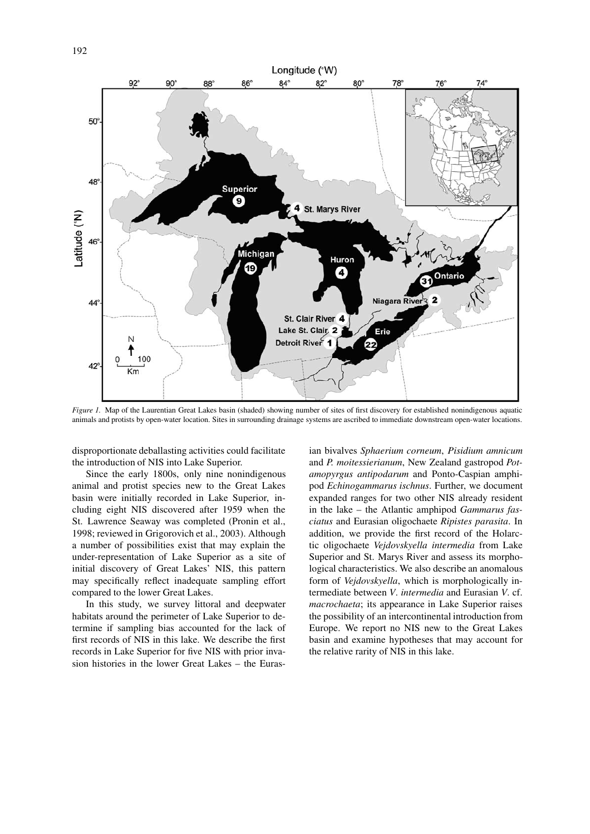

*Figure 1.* Map of the Laurentian Great Lakes basin (shaded) showing number of sites of first discovery for established nonindigenous aquatic animals and protists by open-water location. Sites in surrounding drainage systems are ascribed to immediate downstream open-water locations.

disproportionate deballasting activities could facilitate the introduction of NIS into Lake Superior.

Since the early 1800s, only nine nonindigenous animal and protist species new to the Great Lakes basin were initially recorded in Lake Superior, including eight NIS discovered after 1959 when the St. Lawrence Seaway was completed (Pronin et al., 1998; reviewed in Grigorovich et al., 2003). Although a number of possibilities exist that may explain the under-representation of Lake Superior as a site of initial discovery of Great Lakes' NIS, this pattern may specifically reflect inadequate sampling effort compared to the lower Great Lakes.

In this study, we survey littoral and deepwater habitats around the perimeter of Lake Superior to determine if sampling bias accounted for the lack of first records of NIS in this lake. We describe the first records in Lake Superior for five NIS with prior invasion histories in the lower Great Lakes – the Eurasian bivalves *Sphaerium corneum*, *Pisidium amnicum* and *P. moitessierianum*, New Zealand gastropod *Potamopyrgus antipodarum* and Ponto-Caspian amphipod *Echinogammarus ischnus*. Further, we document expanded ranges for two other NIS already resident in the lake – the Atlantic amphipod *Gammarus fasciatus* and Eurasian oligochaete *Ripistes parasita*. In addition, we provide the first record of the Holarctic oligochaete *Vejdovskyella intermedia* from Lake Superior and St. Marys River and assess its morphological characteristics. We also describe an anomalous form of *Vejdovskyella*, which is morphologically intermediate between *V*. *intermedia* and Eurasian *V*. cf. *macrochaeta*; its appearance in Lake Superior raises the possibility of an intercontinental introduction from Europe. We report no NIS new to the Great Lakes basin and examine hypotheses that may account for the relative rarity of NIS in this lake.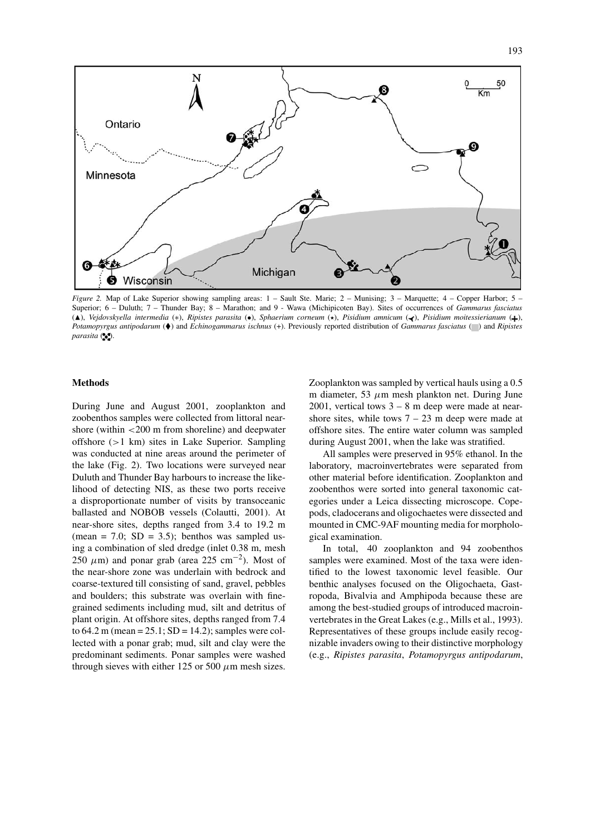

*Figure 2.* Map of Lake Superior showing sampling areas:  $1 -$  Sault Ste. Marie;  $2 -$  Munising;  $3 -$  Marquette;  $4 -$  Copper Harbor;  $5 -$ Superior; 6 – Duluth; 7 – Thunder Bay; 8 – Marathon; and 9 - Wawa (Michipicoten Bay). Sites of occurrences of *Gammarus fasciatus* (▲), *Vejdovskyella intermedia* (\*), *Ripistes parasita* (●), *Sphaerium corneum* (★), *Pisidium amnicum* (★), *Pisidium moitessierianum* (★), *Potamopyrgus antipodarum* ( $\bullet$ ) and *Echinogammarus ischnus* (+). Previously reported distribution of *Gammarus fasciatus* (---) and *Ripistes parasita* ( $\bullet$ ).

#### **Methods**

During June and August 2001, zooplankton and zoobenthos samples were collected from littoral nearshore (within *<*200 m from shoreline) and deepwater offshore (*>*1 km) sites in Lake Superior. Sampling was conducted at nine areas around the perimeter of the lake (Fig. 2). Two locations were surveyed near Duluth and Thunder Bay harbours to increase the likelihood of detecting NIS, as these two ports receive a disproportionate number of visits by transoceanic ballasted and NOBOB vessels (Colautti, 2001). At near-shore sites, depths ranged from 3.4 to 19.2 m (mean = 7.0;  $SD = 3.5$ ); benthos was sampled using a combination of sled dredge (inlet 0.38 m, mesh 250  $\mu$ m) and ponar grab (area 225 cm<sup>-2</sup>). Most of the near-shore zone was underlain with bedrock and coarse-textured till consisting of sand, gravel, pebbles and boulders; this substrate was overlain with finegrained sediments including mud, silt and detritus of plant origin. At offshore sites, depths ranged from 7.4 to  $64.2$  m (mean =  $25.1$ ; SD =  $14.2$ ); samples were collected with a ponar grab; mud, silt and clay were the predominant sediments. Ponar samples were washed through sieves with either 125 or 500  $\mu$ m mesh sizes.

Zooplankton was sampled by vertical hauls using a 0.5 m diameter, 53 *µ*m mesh plankton net. During June  $2001$ , vertical tows  $3 - 8$  m deep were made at nearshore sites, while tows  $7 - 23$  m deep were made at offshore sites. The entire water column was sampled during August 2001, when the lake was stratified.

All samples were preserved in 95% ethanol. In the laboratory, macroinvertebrates were separated from other material before identification. Zooplankton and zoobenthos were sorted into general taxonomic categories under a Leica dissecting microscope. Copepods, cladocerans and oligochaetes were dissected and mounted in CMC-9AF mounting media for morphological examination.

In total, 40 zooplankton and 94 zoobenthos samples were examined. Most of the taxa were identified to the lowest taxonomic level feasible. Our benthic analyses focused on the Oligochaeta, Gastropoda, Bivalvia and Amphipoda because these are among the best-studied groups of introduced macroinvertebrates in the Great Lakes (e.g., Mills et al., 1993). Representatives of these groups include easily recognizable invaders owing to their distinctive morphology (e.g., *Ripistes parasita*, *Potamopyrgus antipodarum*,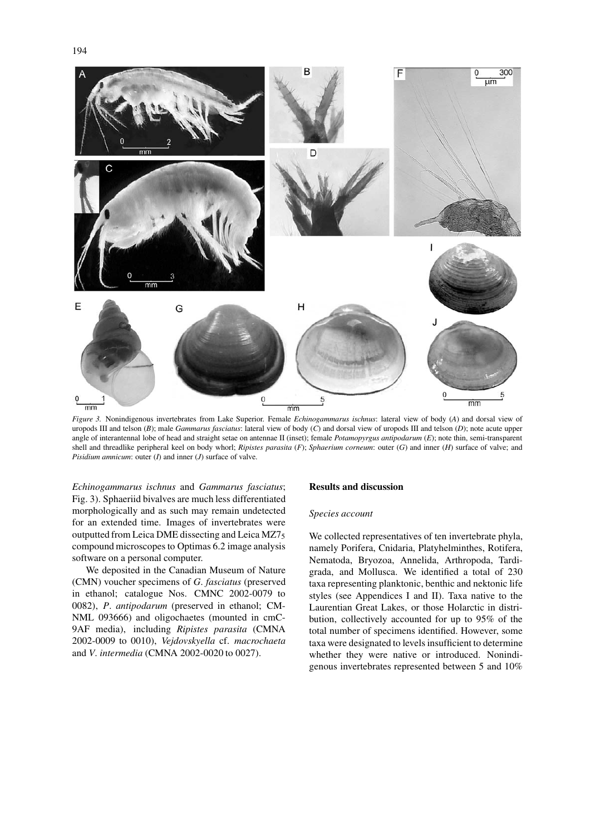

*Figure 3.* Nonindigenous invertebrates from Lake Superior. Female *Echinogammarus ischnus*: lateral view of body (*A*) and dorsal view of uropods III and telson (*B*); male *Gammarus fasciatus*: lateral view of body (*C*) and dorsal view of uropods III and telson (*D*); note acute upper angle of interantennal lobe of head and straight setae on antennae II (inset); female *Potamopyrgus antipodarum* (*E*); note thin, semi-transparent shell and threadlike peripheral keel on body whorl; *Ripistes parasita* (*F*); *Sphaerium corneum*: outer (*G*) and inner (*H*) surface of valve; and *Pisidium amnicum*: outer (*I*) and inner (*J*) surface of valve.

*Echinogammarus ischnus* and *Gammarus fasciatus*; Fig. 3). Sphaeriid bivalves are much less differentiated morphologically and as such may remain undetected for an extended time. Images of invertebrates were outputted from Leica DME dissecting and Leica MZ75 compound microscopes to Optimas 6.2 image analysis software on a personal computer.

We deposited in the Canadian Museum of Nature (CMN) voucher specimens of *G*. *fasciatus* (preserved in ethanol; catalogue Nos. CMNC 2002-0079 to 0082), *P*. *antipodarum* (preserved in ethanol; CM-NML 093666) and oligochaetes (mounted in cmC-9AF media), including *Ripistes parasita* (CMNA 2002-0009 to 0010), *Vejdovskyella* cf. *macrochaeta* and *V*. *intermedia* (CMNA 2002-0020 to 0027).

#### **Results and discussion**

#### *Species account*

We collected representatives of ten invertebrate phyla, namely Porifera, Cnidaria, Platyhelminthes, Rotifera, Nematoda, Bryozoa, Annelida, Arthropoda, Tardigrada, and Mollusca. We identified a total of 230 taxa representing planktonic, benthic and nektonic life styles (see Appendices I and II). Taxa native to the Laurentian Great Lakes, or those Holarctic in distribution, collectively accounted for up to 95% of the total number of specimens identified. However, some taxa were designated to levels insufficient to determine whether they were native or introduced. Nonindigenous invertebrates represented between 5 and 10%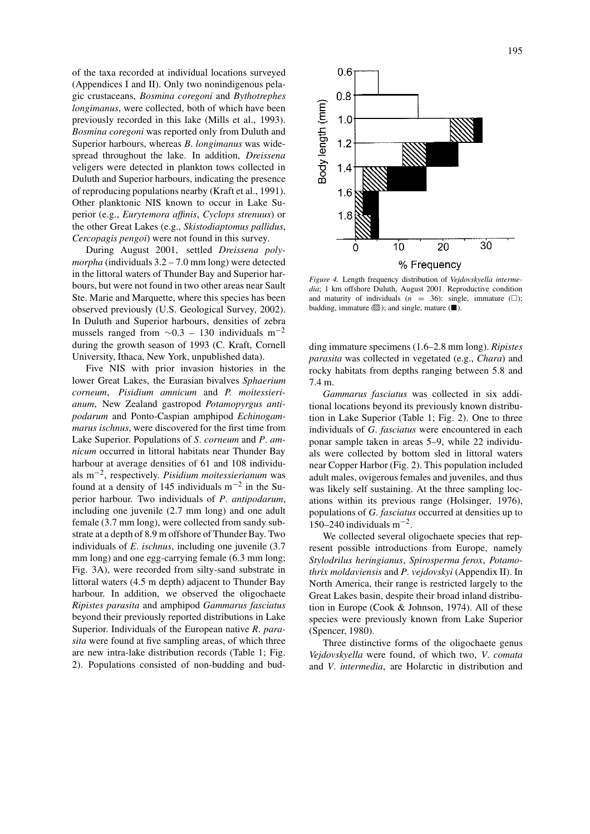of the taxa recorded at individual locations surveyed (Appendices I and II). Only two nonindigenous pelagic crustaceans, *Bosmina coregoni* and *Bythotrephes longimanus*, were collected, both of which have been previously recorded in this lake (Mills et al., 1993). *Bosmina coregoni* was reported only from Duluth and Superior harbours, whereas *B*. *longimanus* was widespread throughout the lake. In addition, *Dreissena* veligers were detected in plankton tows collected in Duluth and Superior harbours, indicating the presence of reproducing populations nearby (Kraft et al., 1991). Other planktonic NIS known to occur in Lake Superior (e.g., *Eurytemora affinis*, *Cyclops strenuus*) or the other Great Lakes (e.g., *Skistodiaptomus pallidus*, *Cercopagis pengoi*) were not found in this survey.

During August 2001, settled *Dreissena polymorpha* (individuals 3.2 – 7.0 mm long) were detected in the littoral waters of Thunder Bay and Superior harbours, but were not found in two other areas near Sault Ste. Marie and Marquette, where this species has been observed previously (U.S. Geological Survey, 2002). In Duluth and Superior harbours, densities of zebra mussels ranged from  $\sim$ 0.3 – 130 individuals m<sup>-2</sup> during the growth season of 1993 (C. Kraft, Cornell University, Ithaca, New York, unpublished data).

Five NIS with prior invasion histories in the lower Great Lakes, the Eurasian bivalves *Sphaerium corneum*, *Pisidium amnicum* and *P. moitessierianum*, New Zealand gastropod *Potamopyrgus antipodarum* and Ponto-Caspian amphipod *Echinogammarus ischnus*, were discovered for the first time from Lake Superior. Populations of *S*. *corneum* and *P*. *amnicum* occurred in littoral habitats near Thunder Bay harbour at average densities of 61 and 108 individuals m−2, respectively. *Pisidium moitessierianum* was found at a density of 145 individuals  $m^{-2}$  in the Superior harbour. Two individuals of *P*. *antipodarum*, including one juvenile (2.7 mm long) and one adult female (3.7 mm long), were collected from sandy substrate at a depth of 8.9 m offshore of Thunder Bay. Two individuals of *E*. *ischnus*, including one juvenile (3.7 mm long) and one egg-carrying female (6.3 mm long; Fig. 3A), were recorded from silty-sand substrate in littoral waters (4.5 m depth) adjacent to Thunder Bay harbour. In addition, we observed the oligochaete *Ripistes parasita* and amphipod *Gammarus fasciatus* beyond their previously reported distributions in Lake Superior. Individuals of the European native *R*. *parasita* were found at five sampling areas, of which three are new intra-lake distribution records (Table 1; Fig. 2). Populations consisted of non-budding and bud-



*Figure 4.* Length frequency distribution of *Vejdovskyella intermedia*; 1 km offshore Duluth, August 2001. Reproductive condition and maturity of individuals  $(n = 36)$ : single, immature  $(\square)$ ; budding, immature  $(\mathbb{S})$ ; and single, mature  $(\blacksquare)$ .

ding immature specimens (1.6–2.8 mm long). *Ripistes parasita* was collected in vegetated (e.g., *Chara*) and rocky habitats from depths ranging between 5.8 and 7.4 m.

*Gammarus fasciatus* was collected in six additional locations beyond its previously known distribution in Lake Superior (Table 1; Fig. 2). One to three individuals of *G*. *fasciatus* were encountered in each ponar sample taken in areas 5–9, while 22 individuals were collected by bottom sled in littoral waters near Copper Harbor (Fig. 2). This population included adult males, ovigerous females and juveniles, and thus was likely self sustaining. At the three sampling locations within its previous range (Holsinger, 1976), populations of *G*. *fasciatus* occurred at densities up to 150–240 individuals  $m^{-2}$ .

We collected several oligochaete species that represent possible introductions from Europe, namely *Stylodrilus heringianus*, *Spirosperma ferox*, *Potamothrix moldaviensis* and *P*. *vejdovskyi* (Appendix II). In North America, their range is restricted largely to the Great Lakes basin, despite their broad inland distribution in Europe (Cook & Johnson, 1974). All of these species were previously known from Lake Superior (Spencer, 1980).

Three distinctive forms of the oligochaete genus *Vejdovskyella* were found, of which two, *V*. *comata* and *V*. *intermedia*, are Holarctic in distribution and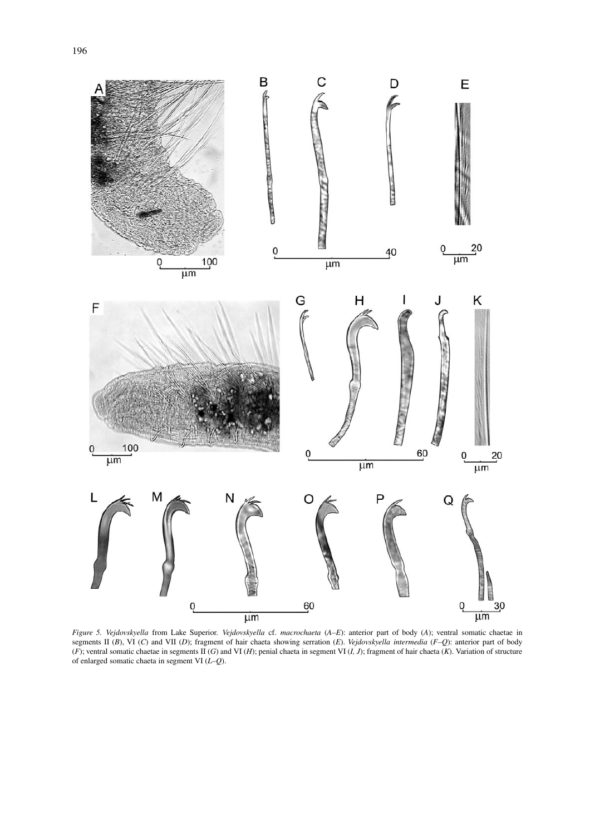

*Figure 5. Vejdovskyella* from Lake Superior. *Vejdovskyella* cf. *macrochaeta* (*A–E*): anterior part of body (*A*); ventral somatic chaetae in segments II (*B*), VI (*C*) and VII (*D*); fragment of hair chaeta showing serration (*E*). *Vejdovskyella intermedia* (*F–Q*): anterior part of body (*F*); ventral somatic chaetae in segments II (*G*) and VI (*H*); penial chaeta in segment VI (*I, J*); fragment of hair chaeta (*K*). Variation of structure of enlarged somatic chaeta in segment VI (*L–Q*).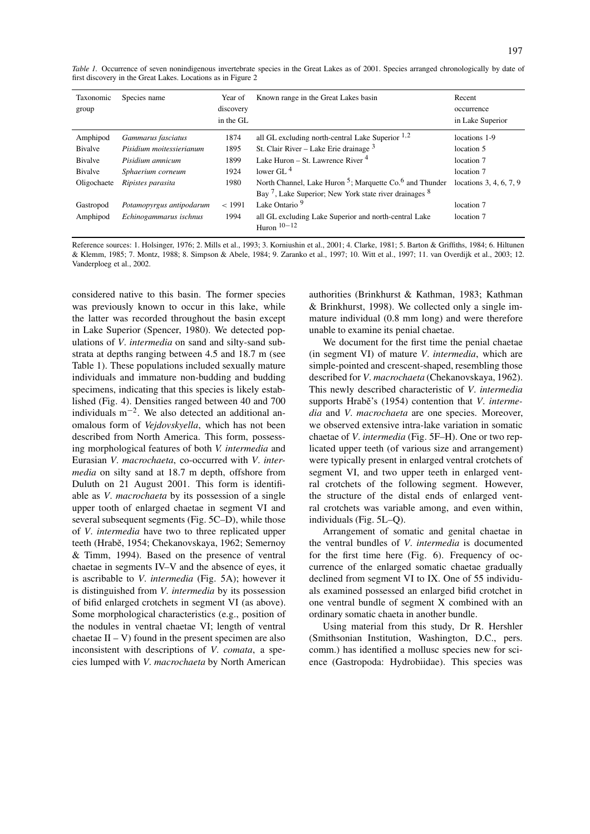Table 1. Occurrence of seven nonindigenous invertebrate species in the Great Lakes as of 2001. Species arranged chronologically by date of first discovery in the Great Lakes. Locations as in Figure 2

| Taxonomic<br>group | Species name             | Year of<br>discovery<br>in the GL | Known range in the Great Lakes basin                                            | Recent<br>occurrence<br>in Lake Superior |
|--------------------|--------------------------|-----------------------------------|---------------------------------------------------------------------------------|------------------------------------------|
| Amphipod           | Gammarus fasciatus       | 1874                              | all GL excluding north-central Lake Superior $^{1,2}$                           | locations 1-9                            |
| <b>Bivalve</b>     | Pisidium moitessierianum | 1895                              | St. Clair River – Lake Erie drainage $3$                                        | location 5                               |
| <b>B</b> ivalve    | Pisidium amnicum         | 1899                              | Lake Huron – St. Lawrence River $4$                                             | location 7                               |
| <b>B</b> ivalve    | Sphaerium corneum        | 1924                              | lower GL $4$                                                                    | location 7                               |
| Oligochaete        | Ripistes parasita        | 1980                              | North Channel, Lake Huron <sup>5</sup> ; Marquette Co. <sup>6</sup> and Thunder | locations 3, 4, 6, 7, 9                  |
|                    |                          |                                   | Bay <sup>7</sup> , Lake Superior; New York state river drainages <sup>8</sup>   |                                          |
| Gastropod          | Potamopyrgus antipodarum | < 1991                            | Lake Ontario <sup>9</sup>                                                       | location 7                               |
| Amphipod           | Echinogammarus ischnus   | 1994                              | all GL excluding Lake Superior and north-central Lake<br>Huron $10-12$          | location 7                               |

Reference sources: 1. Holsinger, 1976; 2. Mills et al., 1993; 3. Korniushin et al., 2001; 4. Clarke, 1981; 5. Barton & Griffiths, 1984; 6. Hiltunen & Klemm, 1985; 7. Montz, 1988; 8. Simpson & Abele, 1984; 9. Zaranko et al., 1997; 10. Witt et al., 1997; 11. van Overdijk et al., 2003; 12. Vanderploeg et al., 2002.

considered native to this basin. The former species was previously known to occur in this lake, while the latter was recorded throughout the basin except in Lake Superior (Spencer, 1980). We detected populations of *V*. *intermedia* on sand and silty-sand substrata at depths ranging between 4.5 and 18.7 m (see Table 1). These populations included sexually mature individuals and immature non-budding and budding specimens, indicating that this species is likely established (Fig. 4). Densities ranged between 40 and 700 individuals  $m^{-2}$ . We also detected an additional anomalous form of *Vejdovskyella*, which has not been described from North America. This form, possessing morphological features of both *V. intermedia* and Eurasian *V*. *macrochaeta*, co-occurred with *V*. *intermedia* on silty sand at 18.7 m depth, offshore from Duluth on 21 August 2001. This form is identifiable as *V*. *macrochaeta* by its possession of a single upper tooth of enlarged chaetae in segment VI and several subsequent segments (Fig. 5C–D), while those of *V*. *intermedia* have two to three replicated upper teeth (Hrabě, 1954; Chekanovskaya, 1962; Semernoy & Timm, 1994). Based on the presence of ventral chaetae in segments IV–V and the absence of eyes, it is ascribable to *V*. *intermedia* (Fig. 5A); however it is distinguished from *V*. *intermedia* by its possession of bifid enlarged crotchets in segment VI (as above). Some morphological characteristics (e.g., position of the nodules in ventral chaetae VI; length of ventral chaetae  $II - V$ ) found in the present specimen are also inconsistent with descriptions of *V*. *comata*, a species lumped with *V*. *macrochaeta* by North American

authorities (Brinkhurst & Kathman, 1983; Kathman & Brinkhurst, 1998). We collected only a single immature individual (0.8 mm long) and were therefore unable to examine its penial chaetae.

We document for the first time the penial chaetae (in segment VI) of mature *V*. *intermedia*, which are simple-pointed and crescent-shaped, resembling those described for *V*. *macrochaeta* (Chekanovskaya, 1962). This newly described characteristic of *V*. *intermedia* supports Hrabě's (1954) contention that *V. intermedia* and *V*. *macrochaeta* are one species. Moreover, we observed extensive intra-lake variation in somatic chaetae of *V*. *intermedia* (Fig. 5F–H). One or two replicated upper teeth (of various size and arrangement) were typically present in enlarged ventral crotchets of segment VI, and two upper teeth in enlarged ventral crotchets of the following segment. However, the structure of the distal ends of enlarged ventral crotchets was variable among, and even within, individuals (Fig. 5L–Q).

Arrangement of somatic and genital chaetae in the ventral bundles of *V*. *intermedia* is documented for the first time here (Fig. 6). Frequency of occurrence of the enlarged somatic chaetae gradually declined from segment VI to IX. One of 55 individuals examined possessed an enlarged bifid crotchet in one ventral bundle of segment X combined with an ordinary somatic chaeta in another bundle.

Using material from this study, Dr R. Hershler (Smithsonian Institution, Washington, D.C., pers. comm.) has identified a mollusc species new for science (Gastropoda: Hydrobiidae). This species was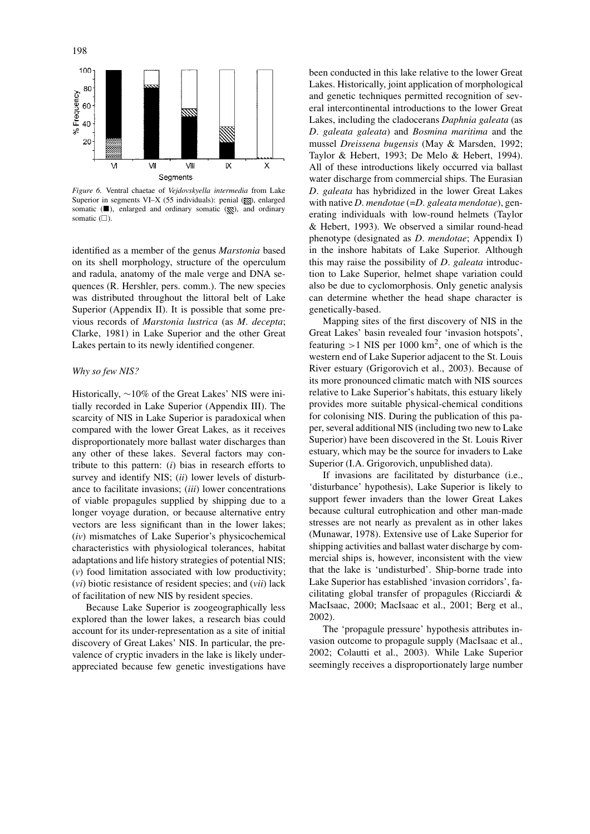

*Figure 6.* Ventral chaetae of *Vejdovskyella intermedia* from Lake Superior in segments VI–X (55 individuals): penial  $(\overline{\mathbb{S}})$ , enlarged somatic  $(\blacksquare)$ , enlarged and ordinary somatic  $(\mathbb{N})$ , and ordinary somatic  $(\square)$ .

identified as a member of the genus *Marstonia* based on its shell morphology, structure of the operculum and radula, anatomy of the male verge and DNA sequences (R. Hershler, pers. comm.). The new species was distributed throughout the littoral belt of Lake Superior (Appendix II). It is possible that some previous records of *Marstonia lustrica* (as *M*. *decepta*; Clarke, 1981) in Lake Superior and the other Great Lakes pertain to its newly identified congener.

#### *Why so few NIS?*

Historically, ∼10% of the Great Lakes' NIS were initially recorded in Lake Superior (Appendix III). The scarcity of NIS in Lake Superior is paradoxical when compared with the lower Great Lakes, as it receives disproportionately more ballast water discharges than any other of these lakes. Several factors may contribute to this pattern: (*i*) bias in research efforts to survey and identify NIS; (*ii*) lower levels of disturbance to facilitate invasions; (*iii*) lower concentrations of viable propagules supplied by shipping due to a longer voyage duration, or because alternative entry vectors are less significant than in the lower lakes; (*iv*) mismatches of Lake Superior's physicochemical characteristics with physiological tolerances, habitat adaptations and life history strategies of potential NIS; (*v*) food limitation associated with low productivity; (*vi*) biotic resistance of resident species; and (*vii*) lack of facilitation of new NIS by resident species.

Because Lake Superior is zoogeographically less explored than the lower lakes, a research bias could account for its under-representation as a site of initial discovery of Great Lakes' NIS. In particular, the prevalence of cryptic invaders in the lake is likely underappreciated because few genetic investigations have been conducted in this lake relative to the lower Great Lakes. Historically, joint application of morphological and genetic techniques permitted recognition of several intercontinental introductions to the lower Great Lakes, including the cladocerans *Daphnia galeata* (as *D*. *galeata galeata*) and *Bosmina maritima* and the mussel *Dreissena bugensis* (May & Marsden, 1992; Taylor & Hebert, 1993; De Melo & Hebert, 1994). All of these introductions likely occurred via ballast water discharge from commercial ships. The Eurasian *D*. *galeata* has hybridized in the lower Great Lakes with native *D*. *mendotae* (=*D*. *galeata mendotae*), generating individuals with low-round helmets (Taylor & Hebert, 1993). We observed a similar round-head phenotype (designated as *D*. *mendotae*; Appendix I) in the inshore habitats of Lake Superior. Although this may raise the possibility of *D*. *galeata* introduction to Lake Superior, helmet shape variation could also be due to cyclomorphosis. Only genetic analysis can determine whether the head shape character is genetically-based.

Mapping sites of the first discovery of NIS in the Great Lakes' basin revealed four 'invasion hotspots', featuring  $>1$  NIS per 1000 km<sup>2</sup>, one of which is the western end of Lake Superior adjacent to the St. Louis River estuary (Grigorovich et al., 2003). Because of its more pronounced climatic match with NIS sources relative to Lake Superior's habitats, this estuary likely provides more suitable physical-chemical conditions for colonising NIS. During the publication of this paper, several additional NIS (including two new to Lake Superior) have been discovered in the St. Louis River estuary, which may be the source for invaders to Lake Superior (I.A. Grigorovich, unpublished data).

If invasions are facilitated by disturbance (i.e., 'disturbance' hypothesis), Lake Superior is likely to support fewer invaders than the lower Great Lakes because cultural eutrophication and other man-made stresses are not nearly as prevalent as in other lakes (Munawar, 1978). Extensive use of Lake Superior for shipping activities and ballast water discharge by commercial ships is, however, inconsistent with the view that the lake is 'undisturbed'. Ship-borne trade into Lake Superior has established 'invasion corridors', facilitating global transfer of propagules (Ricciardi & MacIsaac, 2000; MacIsaac et al., 2001; Berg et al., 2002).

The 'propagule pressure' hypothesis attributes invasion outcome to propagule supply (MacIsaac et al., 2002; Colautti et al., 2003). While Lake Superior seemingly receives a disproportionately large number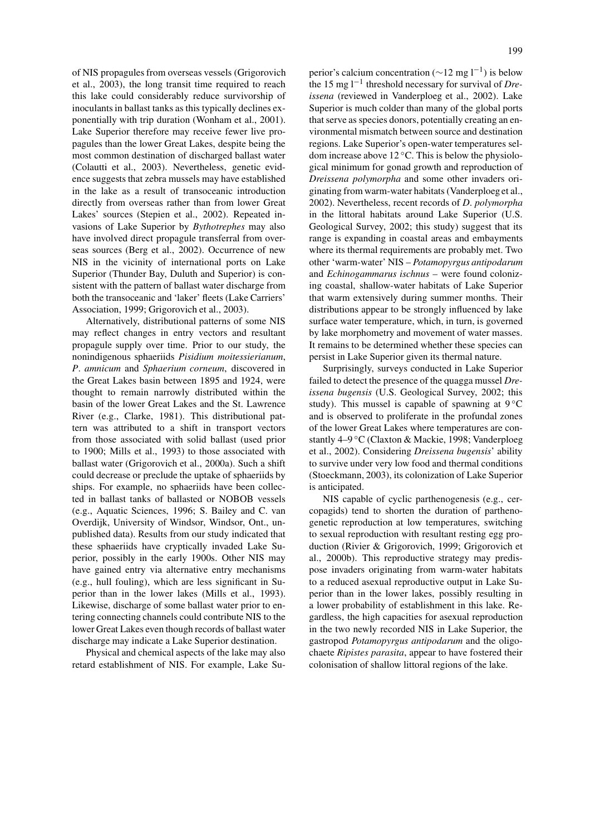of NIS propagules from overseas vessels (Grigorovich et al., 2003), the long transit time required to reach this lake could considerably reduce survivorship of inoculants in ballast tanks as this typically declines exponentially with trip duration (Wonham et al., 2001). Lake Superior therefore may receive fewer live propagules than the lower Great Lakes, despite being the most common destination of discharged ballast water (Colautti et al., 2003). Nevertheless, genetic evidence suggests that zebra mussels may have established in the lake as a result of transoceanic introduction directly from overseas rather than from lower Great Lakes' sources (Stepien et al., 2002). Repeated invasions of Lake Superior by *Bythotrephes* may also have involved direct propagule transferral from overseas sources (Berg et al., 2002). Occurrence of new NIS in the vicinity of international ports on Lake Superior (Thunder Bay, Duluth and Superior) is consistent with the pattern of ballast water discharge from both the transoceanic and 'laker' fleets (Lake Carriers' Association, 1999; Grigorovich et al., 2003).

Alternatively, distributional patterns of some NIS may reflect changes in entry vectors and resultant propagule supply over time. Prior to our study, the nonindigenous sphaeriids *Pisidium moitessierianum*, *P*. *amnicum* and *Sphaerium corneum*, discovered in the Great Lakes basin between 1895 and 1924, were thought to remain narrowly distributed within the basin of the lower Great Lakes and the St. Lawrence River (e.g., Clarke, 1981). This distributional pattern was attributed to a shift in transport vectors from those associated with solid ballast (used prior to 1900; Mills et al., 1993) to those associated with ballast water (Grigorovich et al., 2000a). Such a shift could decrease or preclude the uptake of sphaeriids by ships. For example, no sphaeriids have been collected in ballast tanks of ballasted or NOBOB vessels (e.g., Aquatic Sciences, 1996; S. Bailey and C. van Overdijk, University of Windsor, Windsor, Ont., unpublished data). Results from our study indicated that these sphaeriids have cryptically invaded Lake Superior, possibly in the early 1900s. Other NIS may have gained entry via alternative entry mechanisms (e.g., hull fouling), which are less significant in Superior than in the lower lakes (Mills et al., 1993). Likewise, discharge of some ballast water prior to entering connecting channels could contribute NIS to the lower Great Lakes even though records of ballast water discharge may indicate a Lake Superior destination.

Physical and chemical aspects of the lake may also retard establishment of NIS. For example, Lake Superior's calcium concentration ( $\sim$ 12 mg l<sup>-1</sup>) is below the 15 mg l−<sup>1</sup> threshold necessary for survival of *Dreissena* (reviewed in Vanderploeg et al., 2002). Lake Superior is much colder than many of the global ports that serve as species donors, potentially creating an environmental mismatch between source and destination regions. Lake Superior's open-water temperatures seldom increase above  $12^{\circ}$ C. This is below the physiological minimum for gonad growth and reproduction of *Dreissena polymorpha* and some other invaders originating from warm-water habitats (Vanderploeg et al., 2002). Nevertheless, recent records of *D*. *polymorpha* in the littoral habitats around Lake Superior (U.S. Geological Survey, 2002; this study) suggest that its range is expanding in coastal areas and embayments where its thermal requirements are probably met. Two other 'warm-water' NIS – *Potamopyrgus antipodarum* and *Echinogammarus ischnus* – were found colonizing coastal, shallow-water habitats of Lake Superior that warm extensively during summer months. Their distributions appear to be strongly influenced by lake surface water temperature, which, in turn, is governed by lake morphometry and movement of water masses. It remains to be determined whether these species can persist in Lake Superior given its thermal nature.

Surprisingly, surveys conducted in Lake Superior failed to detect the presence of the quagga mussel *Dreissena bugensis* (U.S. Geological Survey, 2002; this study). This mussel is capable of spawning at  $9^{\circ}$ C and is observed to proliferate in the profundal zones of the lower Great Lakes where temperatures are constantly 4–9 ◦C (Claxton & Mackie, 1998; Vanderploeg et al., 2002). Considering *Dreissena bugensis*' ability to survive under very low food and thermal conditions (Stoeckmann, 2003), its colonization of Lake Superior is anticipated.

NIS capable of cyclic parthenogenesis (e.g., cercopagids) tend to shorten the duration of parthenogenetic reproduction at low temperatures, switching to sexual reproduction with resultant resting egg production (Rivier & Grigorovich, 1999; Grigorovich et al., 2000b). This reproductive strategy may predispose invaders originating from warm-water habitats to a reduced asexual reproductive output in Lake Superior than in the lower lakes, possibly resulting in a lower probability of establishment in this lake. Regardless, the high capacities for asexual reproduction in the two newly recorded NIS in Lake Superior, the gastropod *Potamopyrgus antipodarum* and the oligochaete *Ripistes parasita*, appear to have fostered their colonisation of shallow littoral regions of the lake.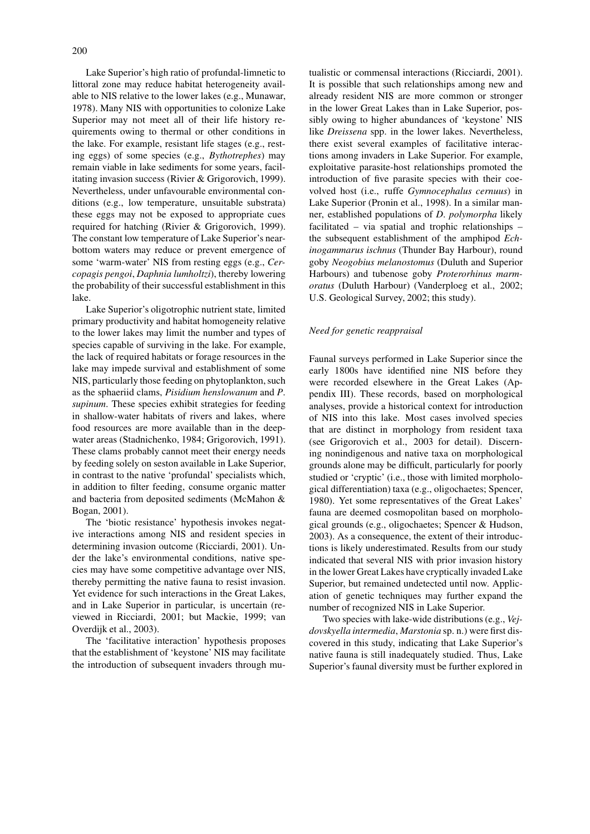Lake Superior's high ratio of profundal-limnetic to littoral zone may reduce habitat heterogeneity available to NIS relative to the lower lakes (e.g., Munawar, 1978). Many NIS with opportunities to colonize Lake Superior may not meet all of their life history requirements owing to thermal or other conditions in the lake. For example, resistant life stages (e.g., resting eggs) of some species (e.g., *Bythotrephes*) may remain viable in lake sediments for some years, facilitating invasion success (Rivier & Grigorovich, 1999). Nevertheless, under unfavourable environmental conditions (e.g., low temperature, unsuitable substrata) these eggs may not be exposed to appropriate cues required for hatching (Rivier & Grigorovich, 1999). The constant low temperature of Lake Superior's nearbottom waters may reduce or prevent emergence of some 'warm-water' NIS from resting eggs (e.g., *Cercopagis pengoi*, *Daphnia lumholtzi*), thereby lowering the probability of their successful establishment in this lake.

Lake Superior's oligotrophic nutrient state, limited primary productivity and habitat homogeneity relative to the lower lakes may limit the number and types of species capable of surviving in the lake. For example, the lack of required habitats or forage resources in the lake may impede survival and establishment of some NIS, particularly those feeding on phytoplankton, such as the sphaeriid clams, *Pisidium henslowanum* and *P*. *supinum*. These species exhibit strategies for feeding in shallow-water habitats of rivers and lakes, where food resources are more available than in the deepwater areas (Stadnichenko, 1984; Grigorovich, 1991). These clams probably cannot meet their energy needs by feeding solely on seston available in Lake Superior, in contrast to the native 'profundal' specialists which, in addition to filter feeding, consume organic matter and bacteria from deposited sediments (McMahon & Bogan, 2001).

The 'biotic resistance' hypothesis invokes negative interactions among NIS and resident species in determining invasion outcome (Ricciardi, 2001). Under the lake's environmental conditions, native species may have some competitive advantage over NIS, thereby permitting the native fauna to resist invasion. Yet evidence for such interactions in the Great Lakes, and in Lake Superior in particular, is uncertain (reviewed in Ricciardi, 2001; but Mackie, 1999; van Overdijk et al., 2003).

The 'facilitative interaction' hypothesis proposes that the establishment of 'keystone' NIS may facilitate the introduction of subsequent invaders through mutualistic or commensal interactions (Ricciardi, 2001). It is possible that such relationships among new and already resident NIS are more common or stronger in the lower Great Lakes than in Lake Superior, possibly owing to higher abundances of 'keystone' NIS like *Dreissena* spp. in the lower lakes. Nevertheless, there exist several examples of facilitative interactions among invaders in Lake Superior. For example, exploitative parasite-host relationships promoted the introduction of five parasite species with their coevolved host (i.e., ruffe *Gymnocephalus cernuus*) in Lake Superior (Pronin et al., 1998). In a similar manner, established populations of *D*. *polymorpha* likely facilitated – via spatial and trophic relationships – the subsequent establishment of the amphipod *Echinogammarus ischnus* (Thunder Bay Harbour), round goby *Neogobius melanostomus* (Duluth and Superior Harbours) and tubenose goby *Proterorhinus marmoratus* (Duluth Harbour) (Vanderploeg et al., 2002; U.S. Geological Survey, 2002; this study).

### *Need for genetic reappraisal*

Faunal surveys performed in Lake Superior since the early 1800s have identified nine NIS before they were recorded elsewhere in the Great Lakes (Appendix III). These records, based on morphological analyses, provide a historical context for introduction of NIS into this lake. Most cases involved species that are distinct in morphology from resident taxa (see Grigorovich et al., 2003 for detail). Discerning nonindigenous and native taxa on morphological grounds alone may be difficult, particularly for poorly studied or 'cryptic' (i.e., those with limited morphological differentiation) taxa (e.g., oligochaetes; Spencer, 1980). Yet some representatives of the Great Lakes' fauna are deemed cosmopolitan based on morphological grounds (e.g., oligochaetes; Spencer & Hudson, 2003). As a consequence, the extent of their introductions is likely underestimated. Results from our study indicated that several NIS with prior invasion history in the lower Great Lakes have cryptically invaded Lake Superior, but remained undetected until now. Application of genetic techniques may further expand the number of recognized NIS in Lake Superior.

Two species with lake-wide distributions (e.g., *Vejdovskyella intermedia*, *Marstonia* sp. n.) were first discovered in this study, indicating that Lake Superior's native fauna is still inadequately studied. Thus, Lake Superior's faunal diversity must be further explored in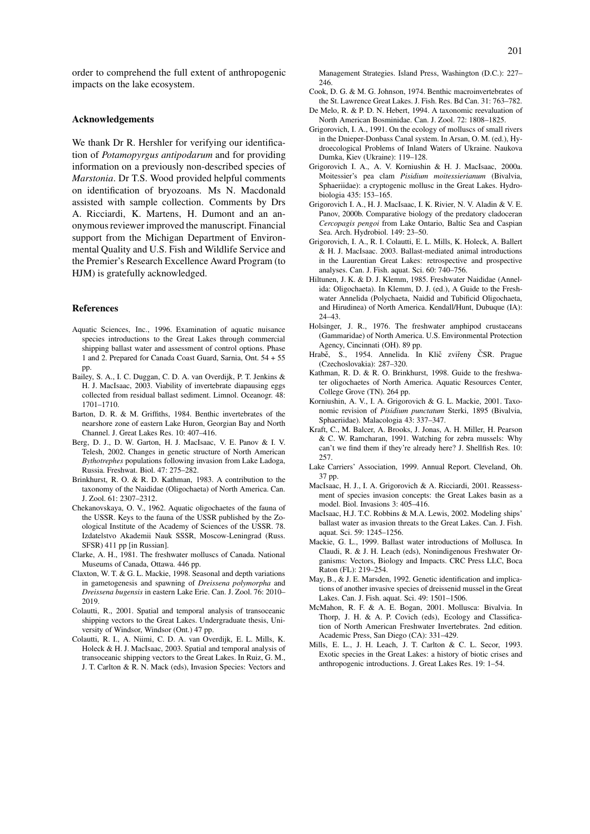order to comprehend the full extent of anthropogenic impacts on the lake ecosystem.

# **Acknowledgements**

We thank Dr R. Hershler for verifying our identification of *Potamopyrgus antipodarum* and for providing information on a previously non-described species of *Marstonia*. Dr T.S. Wood provided helpful comments on identification of bryozoans. Ms N. Macdonald assisted with sample collection. Comments by Drs A. Ricciardi, K. Martens, H. Dumont and an anonymous reviewer improved the manuscript. Financial support from the Michigan Department of Environmental Quality and U.S. Fish and Wildlife Service and the Premier's Research Excellence Award Program (to HJM) is gratefully acknowledged.

#### **References**

- Aquatic Sciences, Inc., 1996. Examination of aquatic nuisance species introductions to the Great Lakes through commercial shipping ballast water and assessment of control options. Phase 1 and 2. Prepared for Canada Coast Guard, Sarnia, Ont. 54 + 55 pp.
- Bailey, S. A., I. C. Duggan, C. D. A. van Overdijk, P. T. Jenkins & H. J. MacIsaac, 2003. Viability of invertebrate diapausing eggs collected from residual ballast sediment. Limnol. Oceanogr. 48: 1701–1710.
- Barton, D. R. & M. Griffiths, 1984. Benthic invertebrates of the nearshore zone of eastern Lake Huron, Georgian Bay and North Channel. J. Great Lakes Res. 10: 407–416.
- Berg, D. J., D. W. Garton, H. J. MacIsaac, V. E. Panov & I. V. Telesh, 2002. Changes in genetic structure of North American *Bythotrephes* populations following invasion from Lake Ladoga, Russia. Freshwat. Biol. 47: 275–282.
- Brinkhurst, R. O. & R. D. Kathman, 1983. A contribution to the taxonomy of the Naididae (Oligochaeta) of North America. Can. J. Zool. 61: 2307–2312.
- Chekanovskaya, O. V., 1962. Aquatic oligochaetes of the fauna of the USSR. Keys to the fauna of the USSR published by the Zoological Institute of the Academy of Sciences of the USSR. 78. Izdatelstvo Akademii Nauk SSSR, Moscow-Leningrad (Russ. SFSR) 411 pp [in Russian].
- Clarke, A. H., 1981. The freshwater molluscs of Canada. National Museums of Canada, Ottawa. 446 pp.
- Claxton, W. T. & G. L. Mackie, 1998. Seasonal and depth variations in gametogenesis and spawning of *Dreissena polymorpha* and *Dreissena bugensis* in eastern Lake Erie. Can. J. Zool. 76: 2010– 2019.
- Colautti, R., 2001. Spatial and temporal analysis of transoceanic shipping vectors to the Great Lakes. Undergraduate thesis, University of Windsor, Windsor (Ont.) 47 pp.
- Colautti, R. I., A. Niimi, C. D. A. van Overdijk, E. L. Mills, K. Holeck & H. J. MacIsaac, 2003. Spatial and temporal analysis of transoceanic shipping vectors to the Great Lakes. In Ruiz, G. M., J. T. Carlton & R. N. Mack (eds), Invasion Species: Vectors and

Management Strategies. Island Press, Washington (D.C.): 227– 246.

- Cook, D. G. & M. G. Johnson, 1974. Benthic macroinvertebrates of the St. Lawrence Great Lakes. J. Fish. Res. Bd Can. 31: 763–782.
- De Melo, R. & P. D. N. Hebert, 1994. A taxonomic reevaluation of North American Bosminidae. Can. J. Zool. 72: 1808–1825.
- Grigorovich, I. A., 1991. On the ecology of molluscs of small rivers in the Dnieper-Donbass Canal system. In Arsan, O. M. (ed.), Hydroecological Problems of Inland Waters of Ukraine. Naukova Dumka, Kiev (Ukraine): 119–128.
- Grigorovich I. A., A. V. Korniushin & H. J. MacIsaac, 2000a. Moitessier's pea clam *Pisidium moitessierianum* (Bivalvia, Sphaeriidae): a cryptogenic mollusc in the Great Lakes. Hydrobiologia 435: 153–165.
- Grigorovich I. A., H. J. MacIsaac, I. K. Rivier, N. V. Aladin & V. E. Panov, 2000b. Comparative biology of the predatory cladoceran *Cercopagis pengoi* from Lake Ontario, Baltic Sea and Caspian Sea. Arch. Hydrobiol. 149: 23–50.
- Grigorovich, I. A., R. I. Colautti, E. L. Mills, K. Holeck, A. Ballert & H. J. MacIsaac. 2003. Ballast-mediated animal introductions in the Laurentian Great Lakes: retrospective and prospective analyses. Can. J. Fish. aquat. Sci. 60: 740–756.
- Hiltunen, J. K. & D. J. Klemm, 1985. Freshwater Naididae (Annelida: Oligochaeta). In Klemm, D. J. (ed.), A Guide to the Freshwater Annelida (Polychaeta, Naidid and Tubificid Oligochaeta, and Hirudinea) of North America. Kendall/Hunt, Dubuque (IA): 24–43.
- Holsinger, J. R., 1976. The freshwater amphipod crustaceans (Gammaridae) of North America. U.S. Environmental Protection Agency, Cincinnati (OH). 89 pp.
- Hrabě, S., 1954. Annelida. In Klič zviřeny ČSR. Prague (Czechoslovakia): 287–320.
- Kathman, R. D. & R. O. Brinkhurst, 1998. Guide to the freshwater oligochaetes of North America. Aquatic Resources Center, College Grove (TN). 264 pp.
- Korniushin, A. V., I. A. Grigorovich & G. L. Mackie, 2001. Taxonomic revision of *Pisidium punctatum* Sterki, 1895 (Bivalvia, Sphaeriidae). Malacologia 43: 337–347.
- Kraft, C., M. Balcer, A. Brooks, J. Jonas, A. H. Miller, H. Pearson & C. W. Ramcharan, 1991. Watching for zebra mussels: Why can't we find them if they're already here? J. Shellfish Res. 10: 257.
- Lake Carriers' Association, 1999. Annual Report. Cleveland, Oh. 37 pp.
- MacIsaac, H. J., I. A. Grigorovich & A. Ricciardi, 2001. Reassessment of species invasion concepts: the Great Lakes basin as a model. Biol. Invasions 3: 405–416.
- MacIsaac, H.J. T.C. Robbins & M.A. Lewis, 2002. Modeling ships' ballast water as invasion threats to the Great Lakes. Can. J. Fish. aquat. Sci. 59: 1245–1256.
- Mackie, G. L., 1999. Ballast water introductions of Mollusca. In Claudi, R. & J. H. Leach (eds), Nonindigenous Freshwater Organisms: Vectors, Biology and Impacts. CRC Press LLC, Boca Raton (FL): 219–254.
- May, B., & J. E. Marsden, 1992. Genetic identification and implications of another invasive species of dreissenid mussel in the Great Lakes. Can. J. Fish. aquat. Sci. 49: 1501–1506.
- McMahon, R. F. & A. E. Bogan, 2001. Mollusca: Bivalvia. In Thorp, J. H. & A. P. Covich (eds), Ecology and Classification of North American Freshwater Invertebrates. 2nd edition. Academic Press, San Diego (CA): 331–429.
- Mills, E. L., J. H. Leach, J. T. Carlton & C. L. Secor, 1993. Exotic species in the Great Lakes: a history of biotic crises and anthropogenic introductions. J. Great Lakes Res. 19: 1–54.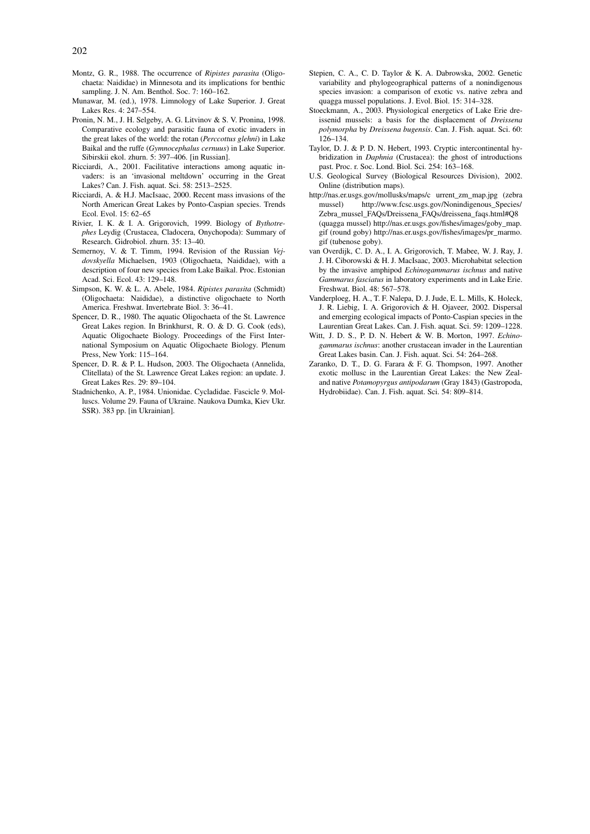- Montz, G. R., 1988. The occurrence of *Ripistes parasita* (Oligochaeta: Naididae) in Minnesota and its implications for benthic sampling. J. N. Am. Benthol. Soc. 7: 160–162.
- Munawar, M. (ed.), 1978. Limnology of Lake Superior. J. Great Lakes Res. 4: 247–554.
- Pronin, N. M., J. H. Selgeby, A. G. Litvinov & S. V. Pronina, 1998. Comparative ecology and parasitic fauna of exotic invaders in the great lakes of the world: the rotan (*Perccottus glehni*) in Lake Baikal and the ruffe (*Gymnocephalus cernuus*) in Lake Superior. Sibirskii ekol. zhurn. 5: 397–406. [in Russian].
- Ricciardi, A., 2001. Facilitative interactions among aquatic invaders: is an 'invasional meltdown' occurring in the Great Lakes? Can. J. Fish. aquat. Sci. 58: 2513–2525.
- Ricciardi, A. & H.J. MacIsaac, 2000. Recent mass invasions of the North American Great Lakes by Ponto-Caspian species. Trends Ecol. Evol. 15: 62–65
- Rivier, I. K. & I. A. Grigorovich, 1999. Biology of *Bythotrephes* Leydig (Crustacea, Cladocera, Onychopoda): Summary of Research. Gidrobiol. zhurn. 35: 13–40.
- Semernoy, V. & T. Timm, 1994. Revision of the Russian *Vejdovskyella* Michaelsen, 1903 (Oligochaeta, Naididae), with a description of four new species from Lake Baikal. Proc. Estonian Acad. Sci. Ecol. 43: 129–148.
- Simpson, K. W. & L. A. Abele, 1984. *Ripistes parasita* (Schmidt) (Oligochaeta: Naididae), a distinctive oligochaete to North America. Freshwat. Invertebrate Biol. 3: 36–41.
- Spencer, D. R., 1980. The aquatic Oligochaeta of the St. Lawrence Great Lakes region. In Brinkhurst, R. O. & D. G. Cook (eds), Aquatic Oligochaete Biology. Proceedings of the First International Symposium on Aquatic Oligochaete Biology. Plenum Press, New York: 115–164.
- Spencer, D. R. & P. L. Hudson, 2003. The Oligochaeta (Annelida, Clitellata) of the St. Lawrence Great Lakes region: an update. J. Great Lakes Res. 29: 89–104.
- Stadnichenko, A. P., 1984. Unionidae. Cycladidae. Fascicle 9. Molluscs. Volume 29. Fauna of Ukraine. Naukova Dumka, Kiev Ukr. SSR). 383 pp. [in Ukrainian].
- Stepien, C. A., C. D. Taylor & K. A. Dabrowska, 2002. Genetic variability and phylogeographical patterns of a nonindigenous species invasion: a comparison of exotic vs. native zebra and quagga mussel populations. J. Evol. Biol. 15: 314–328.
- Stoeckmann, A., 2003. Physiological energetics of Lake Erie dreissenid mussels: a basis for the displacement of *Dreissena polymorpha* by *Dreissena bugensis*. Can. J. Fish. aquat. Sci. 60: 126–134.
- Taylor, D. J. & P. D. N. Hebert, 1993. Cryptic intercontinental hybridization in *Daphnia* (Crustacea): the ghost of introductions past. Proc. r. Soc. Lond. Biol. Sci. 254: 163–168.
- U.S. Geological Survey (Biological Resources Division), 2002. Online (distribution maps).
- http://nas.er.usgs.gov/mollusks/maps/c urrent\_zm\_map.jpg (zebra mussel) http://www.fcsc.usgs.gov/Nonindigenous\_Species/ Zebra\_mussel\_FAQs/Dreissena\_FAQs/dreissena\_faqs.html#Q8 (quagga mussel) http://nas.er.usgs.gov/fishes/images/goby\_map. gif (round goby) http://nas.er.usgs.gov/fishes/images/pr\_marmo. gif (tubenose goby).
- van Overdijk, C. D. A., I. A. Grigorovich, T. Mabee, W. J. Ray, J. J. H. Ciborowski & H. J. MacIsaac, 2003. Microhabitat selection by the invasive amphipod *Echinogammarus ischnus* and native *Gammarus fasciatus* in laboratory experiments and in Lake Erie. Freshwat. Biol. 48: 567–578.
- Vanderploeg, H. A., T. F. Nalepa, D. J. Jude, E. L. Mills, K. Holeck, J. R. Liebig, I. A. Grigorovich & H. Ojaveer, 2002. Dispersal and emerging ecological impacts of Ponto-Caspian species in the Laurentian Great Lakes. Can. J. Fish. aquat. Sci. 59: 1209–1228.
- Witt, J. D. S., P. D. N. Hebert & W. B. Morton, 1997. *Echinogammarus ischnus*: another crustacean invader in the Laurentian Great Lakes basin. Can. J. Fish. aquat. Sci. 54: 264–268.
- Zaranko, D. T., D. G. Farara & F. G. Thompson, 1997. Another exotic mollusc in the Laurentian Great Lakes: the New Zealand native *Potamopyrgus antipodarum* (Gray 1843) (Gastropoda, Hydrobiidae). Can. J. Fish. aquat. Sci. 54: 809–814.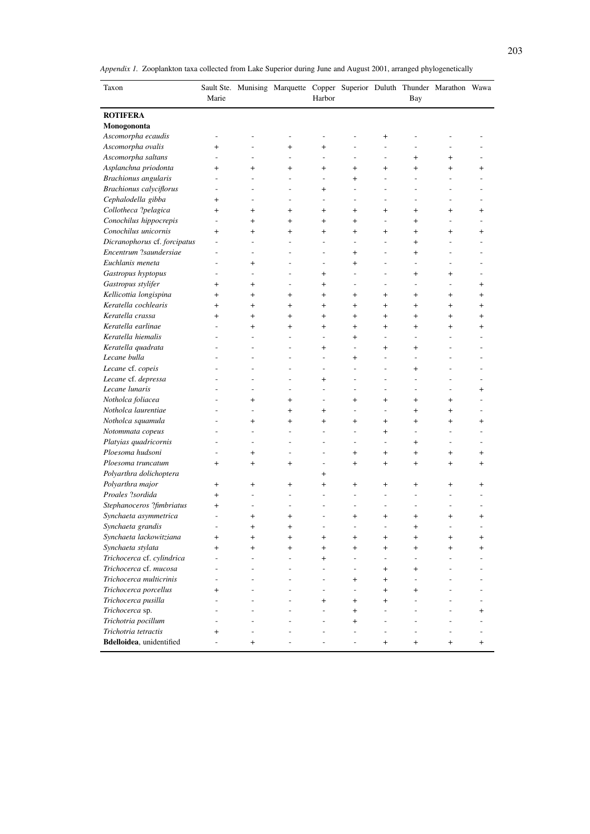| Appendix 1. Zooplankton taxa collected from Lake Superior during June and August 2001, arranged phylogenetically |  |  |  |
|------------------------------------------------------------------------------------------------------------------|--|--|--|
|                                                                                                                  |  |  |  |

| Taxon                          | Marie                    |                          | Sault Ste. Munising Marquette Copper Superior Duluth Thunder Marathon Wawa | Harbor                      |                             |                          | Bay                              |                          |                |
|--------------------------------|--------------------------|--------------------------|----------------------------------------------------------------------------|-----------------------------|-----------------------------|--------------------------|----------------------------------|--------------------------|----------------|
| <b>ROTIFERA</b>                |                          |                          |                                                                            |                             |                             |                          |                                  |                          |                |
| Monogononta                    |                          |                          |                                                                            |                             |                             |                          |                                  |                          |                |
| Ascomorpha ecaudis             |                          |                          | L,                                                                         |                             |                             | $\ddot{}$                |                                  |                          |                |
| Ascomorpha ovalis              | $^{+}$                   | $\overline{a}$           | $\ddot{}$                                                                  | $\ddot{}$                   | ä,                          | ÷,                       | ÷,                               | $\overline{a}$           | ٠              |
| Ascomorpha saltans             | $\overline{a}$           | ä,                       | ٠                                                                          | $\overline{a}$              | ä,                          | $\overline{\phantom{a}}$ | $\ddot{}$                        | $\ddot{}$                | ۰              |
| Asplanchna priodonta           | $+$                      | $\ddot{}$                | $+$                                                                        | $\ddot{}$                   | $+$                         | $\ddot{}$                | $+$                              | $\ddot{}$                | $^+$           |
| <b>Brachionus</b> angularis    | ÷                        | L.                       | ÷                                                                          | ÷                           | $^+$                        | ÷                        | ÷                                | $\overline{a}$           | ۳              |
| <b>Brachionus</b> calyciflorus | L.                       | L.                       | ٠                                                                          | $\pmb{+}$                   | L.                          | ÷                        | $\overline{a}$                   | $\overline{a}$           | L.             |
| Cephalodella gibba             | $^{+}$                   | $\overline{a}$           | $\overline{a}$                                                             | L,                          | ä,                          | $\overline{a}$           |                                  | $\overline{a}$           |                |
| Collotheca ?pelagica           | $+$                      | $\pmb{+}$                | $+$                                                                        | $^+$                        | $\overline{+}$              | $\pmb{+}$                | $^{+}$                           | $\ddot{}$                | $^+$           |
| Conochilus hippocrepis         | $\overline{a}$           | $^+$                     | $+$                                                                        | $\ddot{}$                   | $\ddot{}$                   | ÷,                       | $\,^+$                           |                          |                |
| Conochilus unicornis           | $^{+}$                   | $\ddot{}$                | $+$                                                                        | $\ddot{}$                   | $\ddot{}$                   | $\ddot{}$                | $^{+}$                           | $\,^+$                   | $\ddot{}$      |
| Dicranophorus cf. forcipatus   | $\overline{a}$           | L,                       | L                                                                          | $\overline{a}$              | $\overline{a}$              | ÷,                       | $\pmb{+}$                        |                          |                |
| Encentrum ?saundersiae         | $\overline{a}$           | ä,                       | ٠                                                                          | $\overline{\phantom{a}}$    | $\ddot{}$                   | $\overline{\phantom{a}}$ | $+$                              | ٠                        | ٠              |
| Euchlanis meneta               | $\overline{a}$           | $\ddot{}$                | L,                                                                         | $\overline{a}$              | $\ddot{}$                   | L,                       | $\overline{a}$                   | $\overline{a}$           |                |
| Gastropus hyptopus             | $\overline{a}$           | L.                       | ÷                                                                          | $\ddot{}$                   | $\overline{a}$              | ÷,                       | $+$                              | $\ddot{}$                |                |
| Gastropus stylifer             | $\pmb{+}$                | $\pmb{+}$                | ٠                                                                          | $\ddot{}$                   | $\overline{a}$              | L.                       | $\overline{a}$                   | ÷                        | $\pmb{+}$      |
| Kellicottia longispina         | $^{+}$                   | $\,{}^+$                 | $\overline{+}$                                                             | $\pmb{+}$                   | $\,^+$                      | $\pmb{+}$                | $\ddot{}$                        | $\ddot{}$                | $\pmb{+}$      |
| Keratella cochlearis           | $\pmb{+}$                | $\pmb{+}$                | $\pmb{+}$                                                                  | $^+$                        | $\overline{+}$              | $^+$                     | $\,^+$                           | $\ddot{}$                | $^+$           |
| Keratella crassa               | $+$                      | $\overline{+}$           | $\ddot{}$                                                                  | $\overline{+}$              | $\overline{+}$              | $\ddot{}$                | $^{+}$                           | $^+$                     | $^+$           |
| Keratella earlinae             | $\overline{a}$           | $\ddot{}$                | $\overline{+}$                                                             | $\overline{+}$              | $\ddot{}$                   | $\overline{+}$           | $+$                              | $\ddot{}$                | $\ddot{}$      |
| Keratella hiemalis             | L,                       | $\overline{a}$           | $\overline{a}$                                                             | $\overline{a}$              |                             | ÷,                       |                                  | L,                       |                |
|                                | L,                       | L,                       | L,                                                                         |                             | $\ddot{}$<br>$\overline{a}$ |                          |                                  | L,                       |                |
| Keratella quadrata             | $\overline{a}$           |                          | L                                                                          | $\pmb{+}$<br>$\overline{a}$ |                             | $\pmb{+}$<br>÷,          | $\,^+$                           |                          |                |
| Lecane bulla                   |                          |                          |                                                                            |                             | $\ddot{}$                   |                          |                                  |                          |                |
| Lecane cf. copeis              | $\overline{a}$           | L.                       | ÷,                                                                         | $\overline{a}$              | $\overline{a}$              | ÷,                       | $+$                              | $\overline{a}$           | ٠              |
| Lecane cf. depressa            | $\overline{a}$           | L                        | L,                                                                         | $\ddot{}$                   | ä,                          | ÷,                       | $\overline{a}$                   | $\overline{a}$           | ٠              |
| Lecane lunaris                 | $\overline{\phantom{a}}$ | ۰                        | ٠                                                                          | $\overline{a}$              | ۰                           | $\overline{\phantom{a}}$ | $\overline{\phantom{a}}$         | $\overline{a}$           | $^+$           |
| Notholca foliacea              | L.                       | $\pmb{+}$                | $^+$                                                                       | $\overline{a}$              | $^+$                        | $^+$                     | $\,^+$                           | $\ddot{}$                | L.             |
| Notholca laurentiae            | ÷                        | $\overline{a}$           | $\ddot{}$                                                                  | $\pmb{+}$                   | $\overline{a}$              | ÷                        | $\,^+$                           | $\pmb{+}$                | $\overline{a}$ |
| Notholca squamula              | $\overline{a}$           | $\pmb{+}$                | $\ddot{}$                                                                  | $\overline{+}$              | $\ddot{}$                   | $\overline{+}$           | $+$                              | $\ddot{}$                | $\pmb{+}$      |
| Notommata copeus               | $\overline{a}$           | $\overline{\phantom{0}}$ | $\overline{a}$                                                             | $\overline{a}$              | $\overline{\phantom{0}}$    | $\overline{+}$           |                                  | $\overline{a}$           |                |
| Platyias quadricornis          | L,                       | L,                       | L,                                                                         | $\overline{a}$              | L,                          | ÷,                       | $\ddot{}$                        | $\overline{a}$           |                |
| Ploesoma hudsoni               | $\overline{a}$           | $\pmb{+}$                | L                                                                          | $\overline{a}$              | $\ddot{}$                   | $\ddot{}$                | $\,^+$                           | $\overline{+}$           | $\pmb{+}$      |
| Ploesoma truncatum             | $^{+}$                   | $\ddot{}$                | $+$                                                                        |                             | $\ddot{}$                   | $\ddot{}$                | $\ddot{}$                        | $\ddot{}$                | $^+$           |
| Polyarthra dolichoptera        |                          |                          |                                                                            | $\ddot{}$                   |                             |                          |                                  |                          |                |
| Polyarthra major               | $\ddot{}$                | $^{+}$                   | $\ddot{}$                                                                  | $\ddot{}$                   | $\ddot{}$                   | $\ddot{}$                | $\ddot{}$                        | $\ddot{}$                | $\ddot{}$      |
| Proales ?sordida               | $+$                      | L                        | L.                                                                         | $\overline{a}$              | ä,                          | L,                       | $\overline{a}$                   | $\overline{a}$           |                |
| Stephanoceros ?fimbriatus      | $^{+}$                   | L.                       | ÷.                                                                         | ٠                           | ٠                           | ÷                        | ÷                                | ٠                        |                |
| Synchaeta asymmetrica          | $\overline{a}$           | $\ddot{}$                | $+$                                                                        | ÷                           | $\ddot{}$                   | $\pmb{+}$                | $^{+}$                           | $\ddot{}$                | $\overline{+}$ |
| Synchaeta grandis              | $\overline{a}$           | $\pmb{+}$                | $\ddot{}$                                                                  | $\overline{a}$              | $\overline{a}$              | $\overline{a}$           | $\begin{array}{c} + \end{array}$ | $\overline{\phantom{a}}$ | ä,             |
| Synchaeta lackowitziana        | $\,^+$                   | $^+$                     | $\ddot{}$                                                                  | $\pmb{+}$                   | $\ddot{}$                   | $^+$                     | $\ddot{}$                        | $\overline{+}$           | $\ddot{}$      |
| Synchaeta stylata              | $\ddot{}$                | $\pmb{+}$                | $\ddot{}$                                                                  | $\ddot{}$                   | $\ddot{}$                   | $\ddot{}$                | $\ddot{}$                        | $\ddot{}$                | $\pmb{+}$      |
| Trichocerca cf. cylindrica     | $\overline{a}$           | $\overline{a}$           | ÷,                                                                         | $\ddot{}$                   | $\overline{a}$              | ÷,                       | $\overline{a}$                   |                          |                |
| Trichocerca cf. mucosa         | $\overline{a}$           | $\overline{a}$           | L,                                                                         | $\overline{a}$              | L,                          | $\ddot{}$                | $^{+}$                           | L,                       |                |
| Trichocerca multicrinis        | L,                       | $\overline{a}$           | L                                                                          | $\overline{a}$              | $\ddot{}$                   | $\ddot{}$                | L,                               |                          |                |
| Trichocerca porcellus          | $^{+}$                   | $\overline{a}$           | L,                                                                         | $\overline{a}$              | ÷.                          | $\ddot{}$                | $\ddot{}$                        |                          |                |
| Trichocerca pusilla            | $\overline{a}$           | L.                       | L.                                                                         | $\ddot{}$                   | $+$                         | $\ddot{}$                | ÷                                |                          |                |
| Trichocerca sp.                | ÷,                       | L,                       | L                                                                          | $\overline{a}$              | $\ddot{}$                   | ÷,                       | $\overline{a}$                   | $\overline{a}$           | $\ddot{}$      |
| Trichotria pocillum            | $\overline{a}$           | L.                       | ÷.                                                                         | $\overline{a}$              | $\ddot{}$                   | $\overline{\phantom{a}}$ | $\overline{a}$                   | $\overline{a}$           |                |
| Trichotria tetractis           | $\ddot{}$                | $\overline{a}$           |                                                                            | $\overline{a}$              | $\overline{a}$              | ÷                        |                                  | $\overline{a}$           |                |
| Bdelloidea, unidentified       | $\overline{a}$           | $^{+}$                   |                                                                            | L,                          | ä,                          | $\ddot{}$                | $\ddot{}$                        | $\overline{+}$           | $\ddot{}$      |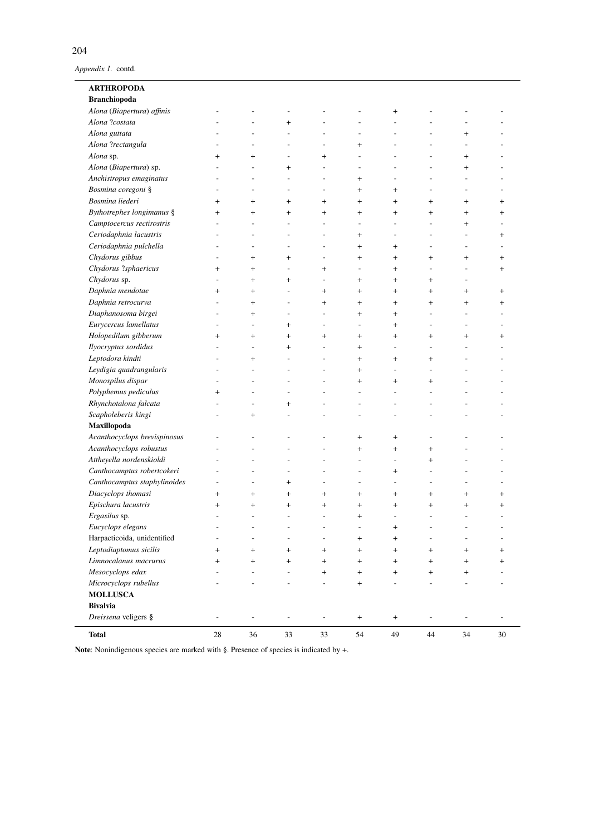| <b>ARTHROPODA</b>            |                              |                          |                |                              |                          |                                  |                              |                          |                          |
|------------------------------|------------------------------|--------------------------|----------------|------------------------------|--------------------------|----------------------------------|------------------------------|--------------------------|--------------------------|
| <b>Branchiopoda</b>          |                              |                          |                |                              |                          |                                  |                              |                          |                          |
| Alona (Biapertura) affinis   |                              |                          |                |                              |                          | $\ddot{}$                        |                              |                          |                          |
| Alona ?costata               |                              | ä,                       | $\ddot{}$      | ٠                            | $\overline{\phantom{a}}$ | ÷,                               | ٠                            |                          |                          |
| Alona guttata                |                              |                          | $\overline{a}$ | $\overline{a}$               | $\overline{a}$           | $\overline{a}$                   |                              | $\ddot{}$                |                          |
| Alona ?rectangula            |                              | $\overline{a}$           | L,             | $\overline{a}$               | $\ddot{}$                | ٠                                |                              | $\overline{a}$           |                          |
| Alona sp.                    | $\pmb{+}$                    | $\overline{+}$           | L,             | $\ddot{}$                    | Ĭ.                       |                                  |                              | $\ddot{}$                |                          |
| Alona (Biapertura) sp.       |                              | L.                       | $\overline{+}$ | ÷                            | L.                       | ٠                                | ÷.                           | $\ddot{}$                |                          |
| Anchistropus emaginatus      |                              | ä,                       | L,             | $\sim$                       | $\ddot{}$                | ÷,                               | ٠                            | $\overline{a}$           |                          |
| Bosmina coregoni §           |                              | $\overline{a}$           | $\overline{a}$ | $\overline{\phantom{a}}$     | $\overline{+}$           | $\ddot{}$                        |                              |                          |                          |
| Bosmina liederi              | $\ddot{}$                    | $\ddot{}$                | $\overline{+}$ | $\ddot{}$                    | $\ddot{}$                | $\ddot{}$                        | $\ddot{}$                    | $\ddot{}$                | $^{+}$                   |
| Bythotrephes longimanus §    | $^+$                         | $\ddot{}$                | $\overline{+}$ | $\ddot{}$                    | $\ddot{}$                | $\ddot{}$                        | $\ddot{}$                    | $\ddot{}$                | $\pmb{+}$                |
| Camptocercus rectirostris    |                              | ÷                        | L,             | $\sim$                       | $\overline{a}$           | $\overline{a}$                   | ÷                            | $\ddot{}$                |                          |
| Ceriodaphnia lacustris       |                              | $\overline{\phantom{0}}$ | $\overline{a}$ | $\qquad \qquad \blacksquare$ | $\pmb{+}$                | $\overline{a}$                   | L,                           |                          | $\pmb{+}$                |
| Ceriodaphnia pulchella       |                              | $\overline{a}$           | L,             | $\overline{a}$               | $^+$                     | $\ddot{}$                        | ÷                            | $\overline{a}$           |                          |
| Chydorus gibbus              |                              | $\overline{+}$           | $\overline{+}$ | ÷,                           | $\overline{+}$           | $\ddot{}$                        | $\overline{+}$               | $\ddot{}$                | $\pmb{+}$                |
| Chydorus ?sphaericus         | $+$                          | $\ddot{}$                | $\overline{a}$ | $\ddot{}$                    | $\overline{\phantom{0}}$ | $\ddot{}$                        | L,                           |                          | $\pmb{+}$                |
| Chydorus sp.                 |                              | $^{+}$                   | $\ddot{}$      | $\overline{\phantom{a}}$     | $^{+}$                   | $+$                              | $^{+}$                       | $\overline{a}$           |                          |
| Daphnia mendotae             | $+$                          | $+$                      | $\overline{a}$ | $\ddot{}$                    | $+$                      | $\ddot{}$                        | $\ddot{}$                    | $+$                      | $\pmb{+}$                |
| Daphnia retrocurva           |                              | $\ddot{}$                | L,             | $\ddot{}$                    | $\ddot{}$                | $\ddot{}$                        | $\ddot{}$                    | $^{+}$                   | $\pmb{+}$                |
| Diaphanosoma birgei          |                              | $\overline{+}$           | L,             | $\overline{a}$               | $\overline{+}$           | $\ddot{}$                        |                              |                          |                          |
| Eurycercus lamellatus        | ٠                            | $\sim$                   | $^+$           | $\overline{\phantom{a}}$     | L,                       | $\ddot{}$                        | ÷,                           | $\overline{a}$           | ÷.                       |
| Holopedilum gibberum         | $\ddot{}$                    | $\ddot{}$                | $\overline{+}$ | $\ddot{}$                    | $\ddot{}$                | $\ddot{}$                        | $\ddot{}$                    | $\ddot{}$                | $^{+}$                   |
| Ilyocryptus sordidus         |                              | $\overline{\phantom{0}}$ | $\overline{+}$ | $\qquad \qquad \blacksquare$ | $^+$                     | $\overline{\phantom{a}}$         |                              |                          |                          |
| Leptodora kindti             |                              | $\ddot{}$                | L,             | $\overline{a}$               | $\ddot{}$                | $\ddot{}$                        | $\ddot{}$                    |                          |                          |
| Leydigia quadrangularis      |                              |                          | Ĭ.             | $\overline{a}$               | $\overline{+}$           | L,                               |                              |                          |                          |
| Monospilus dispar            |                              | L.                       | L.             | ÷                            | $\ddot{}$                | $\ddot{}$                        | $\ddot{}$                    |                          | ٠                        |
| Polyphemus pediculus         | $\,^+$                       | $\overline{a}$           | Ĭ.             | ÷,                           | $\overline{a}$           | L,                               |                              |                          |                          |
| Rhynchotalona falcata        |                              | ÷                        | $\overline{+}$ | ÷.                           | L.                       | ٠                                |                              |                          |                          |
| Scapholeberis kingi          |                              | $^{+}$                   | L,             | $\overline{\phantom{a}}$     | L,                       | ÷,                               |                              |                          |                          |
| Maxillopoda                  |                              |                          |                |                              |                          |                                  |                              |                          |                          |
| Acanthocyclops brevispinosus |                              |                          |                | ٠                            | $\overline{+}$           | $\ddot{}$                        | ٠                            |                          |                          |
| Acanthocyclops robustus      |                              |                          |                | $\overline{a}$               | $\overline{+}$           | $\ddot{}$                        | $^+$                         |                          |                          |
| Attheyella nordenskioldi     |                              | $\overline{a}$           | L.             | ÷                            | L,                       | $\overline{a}$                   | $^+$                         |                          |                          |
| Canthocamptus robertcokeri   |                              |                          | $\overline{a}$ | ÷,                           | Ĭ.                       | $\begin{array}{c} + \end{array}$ | L,                           |                          |                          |
| Canthocamptus staphylinoides |                              | ÷                        | $\overline{+}$ | $\sim$                       | L.                       | ÷                                | ÷                            |                          |                          |
| Diacyclops thomasi           | $\ddot{}$                    | $\ddot{}$                | $\ddot{}$      | $\ddot{}$                    | $^{+}$                   | $\ddot{}$                        | $\ddot{}$                    | $\ddot{}$                | $^{+}$                   |
| Epischura lacustris          | $\overline{+}$               | $+$                      | $\ddot{}$      | $+$                          | $\ddot{}$                | $\ddot{}$                        | $\ddot{}$                    | $\ddot{}$                | $\pmb{+}$                |
| Ergasilus sp.                | ٠                            | $\overline{a}$           | L,             | $\overline{\phantom{a}}$     | $^{+}$                   | L,                               | ÷,                           |                          | $\overline{\phantom{a}}$ |
| Eucyclops elegans            |                              |                          |                |                              |                          |                                  |                              |                          |                          |
| Harpacticoida, unidentified  |                              |                          | $\overline{a}$ | $\overline{\phantom{a}}$     | $\pmb{+}$                | $^{+}$                           | $\qquad \qquad \blacksquare$ | $\overline{\phantom{a}}$ |                          |
| Leptodiaptomus sicilis       | $\overline{+}$               | $^{+}$                   | $\pmb{+}$      | $^{+}$                       | $^{+}$                   | $+$                              | $^{+}$                       | $\ddot{}$                | $\pmb{+}$                |
| Limnocalanus macrurus        | $\ddot{}$                    | $+$                      | $\overline{+}$ | $+$                          | $\ddot{}$                | $+$                              | $\ddot{}$                    | $+$                      | $\overline{+}$           |
| Mesocyclops edax             |                              |                          |                | $\ddot{}$                    | $\ddot{}$                | $+$                              | $\ddot{}$                    | $\ddot{}$                |                          |
| Microcyclops rubellus        |                              |                          |                |                              | $^{+}$                   |                                  |                              |                          |                          |
| <b>MOLLUSCA</b>              |                              |                          |                |                              |                          |                                  |                              |                          |                          |
| <b>Bivalvia</b>              |                              |                          |                |                              |                          |                                  |                              |                          |                          |
| Dreissena veligers §         | $\qquad \qquad \blacksquare$ |                          | L,             | $\overline{\phantom{a}}$     | $\ddot{}$                | $^{+}$                           | $\overline{a}$               |                          |                          |
| <b>Total</b>                 | $28\,$                       | 36                       | 33             | 33                           | 54                       | 49                               | 44                           | 34                       | 30                       |

Note: Nonindigenous species are marked with §. Presence of species is indicated by +.

l,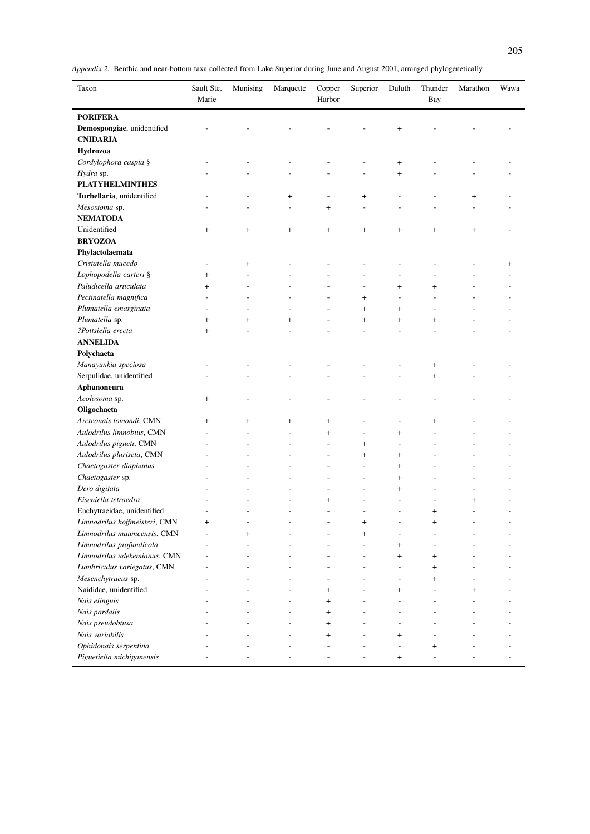| Appendix 2. Benthic and near-bottom taxa collected from Lake Superior during June and August 2001, arranged phylogenetically |
|------------------------------------------------------------------------------------------------------------------------------|
|------------------------------------------------------------------------------------------------------------------------------|

| Taxon                             | Sault Ste.<br>Marie | Munising       | Marquette                | Copper<br>Harbor | Superior       | Duluth                   | Thunder<br><b>Bay</b>            | Marathon       | Wawa      |
|-----------------------------------|---------------------|----------------|--------------------------|------------------|----------------|--------------------------|----------------------------------|----------------|-----------|
| <b>PORIFERA</b>                   |                     |                |                          |                  |                |                          |                                  |                |           |
| Demospongiae, unidentified        |                     |                |                          |                  |                | $+$                      |                                  |                |           |
| <b>CNIDARIA</b>                   |                     |                |                          |                  |                |                          |                                  |                |           |
| Hydrozoa                          |                     |                |                          |                  |                |                          |                                  |                |           |
| Cordylophora caspia §             |                     |                |                          |                  |                | $\ddot{}$                |                                  |                |           |
| Hydra sp.                         |                     |                |                          |                  |                | $\ddot{}$                |                                  |                |           |
| <b>PLATYHELMINTHES</b>            |                     |                |                          |                  |                |                          |                                  |                |           |
| Turbellaria, unidentified         |                     |                | $^{+}$                   |                  | $\overline{+}$ |                          |                                  | $\ddot{}$      |           |
| Mesostoma sp.                     |                     | ÷              | $\overline{\phantom{a}}$ | $\ddot{}$        | ÷              |                          |                                  | $\overline{a}$ |           |
| <b>NEMATODA</b>                   |                     |                |                          |                  |                |                          |                                  |                |           |
| Unidentified                      | $\ddot{}$           | $\overline{+}$ | $\ddot{}$                | $\ddot{}$        | $^{+}$         | $\ddot{}$                | $\ddot{}$                        | $\ddot{}$      |           |
| <b>BRYOZOA</b>                    |                     |                |                          |                  |                |                          |                                  |                |           |
| Phylactolaemata                   |                     |                |                          |                  |                |                          |                                  |                |           |
| Cristatella mucedo                |                     | $\,^+$         |                          |                  |                |                          |                                  |                | $\pmb{+}$ |
| Lophopodella carteri §            | $+$                 |                |                          |                  |                |                          |                                  |                |           |
| Paludicella articulata            | $\ddot{}$           | ٠              |                          |                  |                | $\ddot{}$                | $\ddot{}$                        |                |           |
| Pectinatella magnifica            | $\overline{a}$      |                |                          |                  | $\ddot{}$      |                          |                                  |                |           |
| Plumatella emarginata             | $\overline{a}$      | Ē,             |                          |                  | $\ddot{}$      | $\ddot{}$                |                                  |                |           |
| Plumatella sp.                    | $\ddot{}$           | $^{+}$         | $^{+}$                   |                  | $\overline{+}$ | $\ddot{}$                | $\ddot{}$                        |                |           |
| ?Pottsiella erecta                | $\ddot{}$           | ä,             | ÷                        |                  | ÷              | $\overline{\phantom{a}}$ |                                  |                |           |
| <b>ANNELIDA</b>                   |                     |                |                          |                  |                |                          |                                  |                |           |
|                                   |                     |                |                          |                  |                |                          |                                  |                |           |
| Polychaeta<br>Manayunkia speciosa |                     |                |                          |                  |                |                          |                                  |                |           |
|                                   |                     |                |                          |                  |                |                          | $\ddot{}$                        |                |           |
| Serpulidae, unidentified          |                     |                |                          |                  |                |                          | $\begin{array}{c} + \end{array}$ |                |           |
| Aphanoneura                       |                     |                |                          |                  |                |                          |                                  |                |           |
| Aeolosoma sp.                     | $\ddot{}$           |                |                          |                  |                |                          |                                  |                |           |
| Oligochaeta                       |                     |                |                          |                  |                |                          |                                  |                |           |
| Arcteonais lomondi, CMN           | $\ddot{}$           | $^{+}$         | $\ddot{}$                | $\ddot{}$        |                |                          | $\ddot{}$                        |                |           |
| Aulodrilus limnobius, CMN         |                     |                |                          | $\ddot{}$        |                | $\overline{+}$           |                                  |                |           |
| Aulodrilus pigueti, CMN           |                     | ٠              | $\overline{\phantom{a}}$ | ٠                | $\ddot{}$      | $\overline{\phantom{a}}$ | ٠                                |                |           |
| Aulodrilus pluriseta, CMN         |                     |                |                          |                  | $\ddot{}$      | $\ddot{}$                |                                  |                |           |
| Chaetogaster diaphanus            |                     |                |                          | $\overline{a}$   | $\overline{a}$ | $\overline{+}$           |                                  |                |           |
| Chaetogaster sp.                  |                     |                |                          |                  |                | $\ddot{}$                |                                  |                |           |
| Dero digitata                     |                     |                |                          | $\overline{a}$   |                | $\ddot{}$                |                                  |                |           |
| Eiseniella tetraedra              |                     |                |                          | $\ddot{}$        |                |                          |                                  | $\ddot{}$      |           |
| Enchytraeidae, unidentified       |                     |                |                          | $\overline{a}$   |                |                          | $\ddot{}$                        |                |           |
| Limnodrilus hoffmeisteri, CMN     |                     |                |                          |                  |                |                          |                                  |                |           |
| Limnodrilus maumeensis, CMN       |                     | $\,^+$         |                          |                  |                |                          |                                  |                |           |
| Limnodrilus profundicola          |                     |                |                          |                  |                | $\overline{+}$           |                                  |                |           |
| Limnodrilus udekemianus, CMN      |                     |                |                          |                  |                | $\ddot{}$                | $\begin{array}{c} + \end{array}$ |                |           |
| Lumbriculus variegatus, CMN       |                     |                |                          |                  |                |                          | $\ddot{}$                        |                |           |
| Mesenchytraeus sp.                |                     |                |                          |                  |                |                          | $\ddot{}$                        |                |           |
| Naididae, unidentified            |                     |                |                          | $\ddot{}$        |                | $\ddot{}$                |                                  | $^{+}$         |           |
| Nais elinguis                     |                     |                |                          | $\ddot{}$        |                |                          |                                  |                |           |
| Nais pardalis                     |                     |                |                          | $^{+}$           |                |                          |                                  |                |           |
| Nais pseudobtusa                  |                     |                |                          | $^{+}$           |                |                          |                                  |                |           |
| Nais variabilis                   |                     |                |                          | $\overline{+}$   |                | $\ddot{}$                |                                  |                |           |
| Ophidonais serpentina             |                     |                |                          |                  |                |                          | $\,^+$                           |                |           |
| Piguetiella michiganensis         |                     |                |                          |                  |                | $\ddot{}$                |                                  |                |           |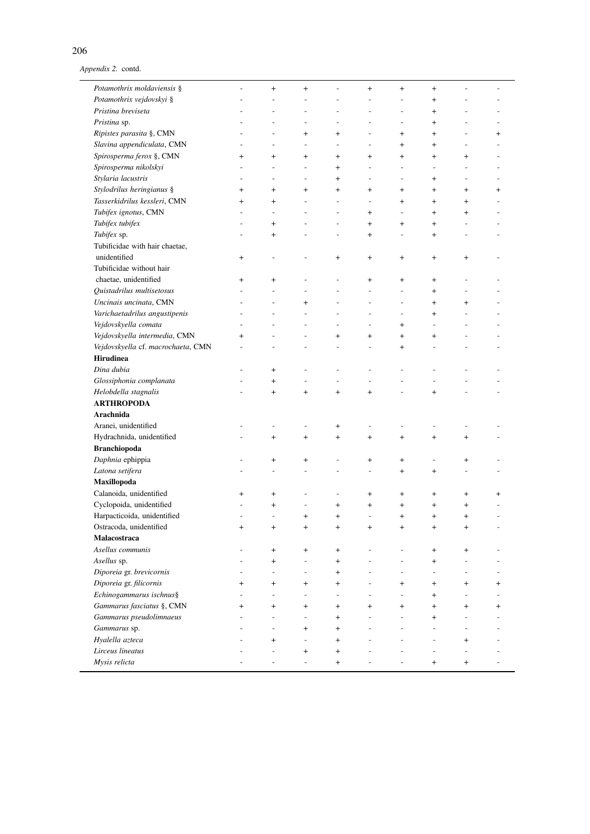*Appendix 2.* contd.

| Potamothrix moldaviensis §                            |                | $\pmb{+}$                        | $\pmb{+}$       |                              | $\pmb{+}$                | $\pmb{+}$                                      | $\pmb{+}$                          |                |                          |
|-------------------------------------------------------|----------------|----------------------------------|-----------------|------------------------------|--------------------------|------------------------------------------------|------------------------------------|----------------|--------------------------|
| Potamothrix vejdovskyi §                              |                | L.                               | L,              | L,                           | ÷                        | $\overline{\phantom{a}}$                       | $\ddot{}$                          |                |                          |
| Pristina breviseta                                    |                | $\overline{a}$                   | L,              | $\overline{a}$               | L,                       | $\overline{a}$                                 | $\ddot{}$                          |                |                          |
| Pristina sp.                                          |                | L.                               | L,              | $\overline{\phantom{a}}$     | ÷                        | $\overline{\phantom{a}}$                       | $\ddot{}$                          |                | $\sim$                   |
| Ripistes parasita §, CMN                              |                | L,                               | $\overline{+}$  | $^{+}$                       | $\overline{a}$           | $\ddot{}$                                      | $\overline{+}$                     |                | $\overline{+}$           |
| Slavina appendiculata, CMN                            |                | $\overline{\phantom{0}}$         | $\overline{a}$  | $\qquad \qquad \blacksquare$ | $\overline{a}$           | $\pm$                                          | $\ddot{}$                          |                | $\overline{\phantom{a}}$ |
| Spirosperma ferox §, CMN                              | $\ddot{}$      | $\ddot{}$                        | $\ddot{}$       | $\ddot{}$                    | $\ddot{}$                | $\ddot{}$                                      | $\ddot{}$                          | $\ddot{}$      | $\overline{\phantom{a}}$ |
| Spirosperma nikolskyi                                 |                | $\overline{\phantom{0}}$         | $\overline{a}$  | $\ddot{}$                    | $\overline{a}$           | $\overline{a}$                                 | $\qquad \qquad \blacksquare$       |                |                          |
| Stylaria lacustris                                    | ٠              | $\overline{\phantom{a}}$         | L,              | $\ddot{}$                    | $\overline{\phantom{a}}$ | $\overline{\phantom{a}}$                       | $\pmb{+}$                          | ÷.             | $\sim$                   |
| Stylodrilus heringianus §                             | $\overline{+}$ | $\overline{+}$                   | $\overline{+}$  | $\ddot{}$                    | $\ddot{}$                | $\begin{array}{c} + \end{array}$               | $\overline{+}$                     | $\ddot{}$      | $\,^+$                   |
| Tasserkidrilus kessleri, CMN                          | $\ddot{}$      | $\ddot{}$                        | ÷.              | $\overline{a}$               | ÷                        | $\ddot{}$                                      | $\ddot{}$                          | $\ddot{}$      | $\overline{a}$           |
| Tubifex ignotus, CMN                                  | L,             | $\overline{a}$                   | L,              | $\overline{a}$               | $\ddot{}$                | $\overline{a}$                                 | $\overline{+}$                     | $^{+}$         | $\overline{\phantom{a}}$ |
| Tubifex tubifex                                       |                | $\ddot{}$                        |                 | $\overline{a}$               | $\ddot{}$                | $\ddot{}$                                      | $\ddot{}$                          |                |                          |
| Tubifex sp.                                           | ٠              | $\ddot{}$                        |                 | L,                           | $\ddot{}$                | $\overline{a}$                                 | $^{+}$                             | ٠              | ٠                        |
| Tubificidae with hair chaetae,                        |                |                                  |                 |                              |                          |                                                |                                    |                |                          |
| unidentified                                          | $^{+}$         | ۰                                |                 | $\overline{+}$               | $\ddot{}$                | $\ddot{}$                                      | $\overline{+}$                     | $\ddot{}$      | ٠                        |
| Tubificidae without hair                              |                |                                  |                 |                              |                          |                                                |                                    |                |                          |
| chaetae, unidentified                                 |                |                                  |                 | L,                           |                          |                                                |                                    | ÷              | $\overline{a}$           |
| Quistadrilus multisetosus                             | $\ddot{}$      | $\ddot{}$                        |                 |                              | $\ddot{}$                | $\ddot{}$<br>$\overline{a}$                    | $\pmb{+}$                          |                |                          |
| Uncinais uncinata, CMN                                |                |                                  |                 | $\overline{a}$               |                          |                                                | $\overline{+}$                     |                |                          |
|                                                       | ٠              | $\overline{a}$<br>$\overline{a}$ | $\ddot{}$<br>L, | $\overline{a}$               | L.                       | $\qquad \qquad \blacksquare$<br>$\overline{a}$ | $\ddot{}$                          | $^{+}$         | $\sim$                   |
| Varichaetadrilus angustipenis<br>Vejdovskyella comata |                |                                  |                 | $\overline{a}$               |                          |                                                | $^{+}$<br>$\overline{\phantom{0}}$ |                |                          |
|                                                       |                | L.                               |                 |                              |                          | $\overline{+}$                                 |                                    |                | $\overline{a}$           |
| Vejdovskyella intermedia, CMN                         | $\ddot{}$      |                                  |                 | $^{+}$                       | $\ddot{}$                | $\ddot{}$                                      | $\ddot{}$                          |                |                          |
| Vejdovskyella cf. macrochaeta, CMN                    |                |                                  |                 | $\overline{a}$               | ÷,                       | $\ddot{}$                                      | Ĭ.                                 |                | $\overline{a}$           |
| <b>Hirudinea</b>                                      |                |                                  |                 |                              |                          |                                                |                                    |                |                          |
| Dina dubia                                            | ۰              | $\overline{+}$                   | L,              | $\overline{a}$               |                          |                                                |                                    |                | ٠                        |
| Glossiphonia complanata                               |                | $\overline{+}$                   | L,              | $\overline{\phantom{a}}$     |                          |                                                |                                    |                |                          |
| Helobdella stagnalis                                  |                | $\ddot{}$                        | $\ddot{}$       | $^{+}$                       | $\ddot{}$                |                                                | $^{+}$                             |                |                          |
| <b>ARTHROPODA</b>                                     |                |                                  |                 |                              |                          |                                                |                                    |                |                          |
| Arachnida                                             |                |                                  |                 |                              |                          |                                                |                                    |                |                          |
| Aranei, unidentified                                  |                |                                  |                 | $\ddag$                      |                          |                                                |                                    |                |                          |
| Hydrachnida, unidentified                             |                | $\ddot{}$                        | $\overline{+}$  | $\ddot{}$                    | $\ddot{}$                | $\ddot{}$                                      | $\ddot{}$                          | $\ddot{}$      | $\overline{a}$           |
| <b>Branchiopoda</b>                                   |                |                                  |                 |                              |                          |                                                |                                    |                |                          |
| Daphnia ephippia                                      |                | $\ddot{}$                        | $\pmb{+}$       | $\overline{a}$               | $\,^+$                   | $\ddot{}$                                      | $\overline{a}$                     | $\ddot{}$      |                          |
| Latona setifera                                       |                | ٠                                | $\overline{a}$  | $\overline{a}$               | $\overline{a}$           | $\ddot{}$                                      | $\overline{+}$                     | ÷,             | $\overline{\phantom{a}}$ |
| Maxillopoda                                           |                |                                  |                 |                              |                          |                                                |                                    |                |                          |
| Calanoida, unidentified                               | $^{+}$         | $\ddot{}$                        | L,              | $\overline{a}$               | $\ddot{}$                | $\ddot{}$                                      | $^+$                               | $\ddot{}$      | $\pmb{+}$                |
| Cyclopoida, unidentified                              |                | $\ddot{}$                        |                 | $\overline{+}$               | $\ddot{}$                | $\begin{array}{c} + \end{array}$               | $\overline{+}$                     | $\overline{+}$ |                          |
| Harpacticoida, unidentified                           |                | ÷                                | $\ddot{}$       | $^{+}$                       | $\overline{a}$           | $^{+}$                                         | $\ddot{}$                          | $\ddot{}$      | $\overline{a}$           |
| Ostracoda, unidentified                               |                |                                  |                 |                              |                          |                                                |                                    |                |                          |
| Malacostraca                                          |                |                                  |                 |                              |                          |                                                |                                    |                |                          |
| Asellus communis                                      |                | $+$                              | $\overline{+}$  | $+$                          |                          |                                                | $\ddot{}$                          | $\ddot{}$      |                          |
| Asellus sp.                                           |                | $\overline{+}$                   | L,              | $\ddot{}$                    |                          |                                                | $\overline{+}$                     |                |                          |
| Diporeia gr. brevicornis                              |                | $\sim$                           | ÷,              | $\ddot{}$                    | $\overline{a}$           | $\overline{a}$                                 | $\overline{a}$                     |                |                          |
| Diporeia gr. filicornis                               | $\pmb{+}$      | $\ddot{}$                        | $\overline{+}$  | $\ddot{}$                    |                          | $\pm$                                          | $\pmb{+}$                          | $\overline{+}$ | $\pmb{+}$                |
| Echinogammarus ischnus§                               |                |                                  |                 |                              |                          |                                                | $\pmb{+}$                          |                |                          |
| Gammarus fasciatus §, CMN                             | $\overline{+}$ | $\ddot{}$                        | $\overline{+}$  | $\ddot{}$                    | $\ddot{}$                | $+$                                            | $\overline{+}$                     | $+$            | $\overline{+}$           |
| Gammarus pseudolimnaeus                               |                |                                  |                 | $+$                          |                          |                                                | $\overline{+}$                     |                |                          |
| Gammarus sp.                                          |                |                                  | $\overline{+}$  | $+$                          |                          |                                                |                                    |                |                          |
| Hyalella azteca                                       |                | $+$                              |                 | $+$                          |                          |                                                |                                    | $\ddot{}$      |                          |
| Lirceus lineatus                                      |                |                                  | $\ddot{}$       | $+$                          |                          |                                                | ÷.                                 |                |                          |
| Mysis relicta                                         |                |                                  |                 | $\ddot{}$                    |                          |                                                | $\overline{+}$                     | $\ddot{}$      |                          |
|                                                       |                |                                  |                 |                              |                          |                                                |                                    |                |                          |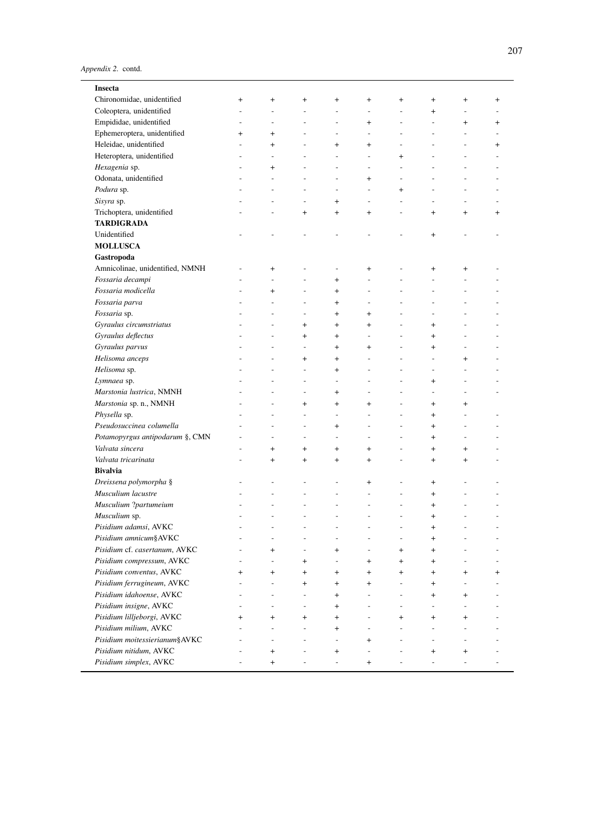*Appendix 2.* contd.

| <b>Insecta</b>                  |                          |                          |                              |                          |                              |                                  |                          |                          |           |
|---------------------------------|--------------------------|--------------------------|------------------------------|--------------------------|------------------------------|----------------------------------|--------------------------|--------------------------|-----------|
| Chironomidae, unidentified      | $\pmb{+}$                | $\overline{+}$           | $\pmb{+}$                    | $^+$                     | $\,^+$                       | $\pmb{+}$                        | $\,^+$                   | $\pmb{+}$                | $\pmb{+}$ |
| Coleoptera, unidentified        |                          | $\overline{a}$           |                              | $\overline{a}$           | $\qquad \qquad \blacksquare$ | $\overline{\phantom{0}}$         | $+$                      | $\overline{a}$           |           |
| Empididae, unidentified         | $\overline{\phantom{a}}$ | $\overline{\phantom{a}}$ | L,                           | ÷,                       | $^{+}$                       | ÷,                               | $\overline{a}$           | $\ddot{}$                | $\ddot{}$ |
| Ephemeroptera, unidentified     | $\pmb{+}$                | $\ddot{}$                | $\overline{a}$               | $\overline{\phantom{0}}$ | $\overline{a}$               | ÷,                               | $\overline{a}$           | $\overline{a}$           |           |
| Heleidae, unidentified          | $\overline{a}$           | $\ddot{}$                | $\overline{a}$               | $\ddot{}$                | $^{+}$                       | L.                               | ÷.                       | ÷                        | $\ddot{}$ |
| Heteroptera, unidentified       |                          | $\overline{a}$           | ÷,                           | $\overline{a}$           | $\overline{a}$               | $\ddot{}$                        | L,                       | L,                       | L,        |
| Hexagenia sp.                   | $\overline{a}$           | $\overline{+}$           | ÷,                           | ÷.                       | ÷,                           | $\overline{a}$                   | L,                       | L.                       | ÷.        |
| Odonata, unidentified           | $\overline{a}$           | $\overline{a}$           | L,                           | L,                       | $^{+}$                       | L,                               | L,                       | ÷,                       | ٠         |
| Podura sp.                      |                          |                          | $\overline{a}$               | $\overline{\phantom{0}}$ | $\overline{a}$               | $+$                              | L,                       | $\overline{a}$           |           |
| Sisyra sp.                      |                          | $\overline{a}$           | $\qquad \qquad \blacksquare$ | $\ddot{}$                | $\qquad \qquad \blacksquare$ | $\overline{a}$                   | $\overline{a}$           | ÷,                       | ٠         |
| Trichoptera, unidentified       |                          |                          | $\ddot{}$                    | $+$                      | $+$                          | $\overline{a}$                   | $+$                      | $+$                      | $\pm$     |
| TARDIGRADA                      |                          |                          |                              |                          |                              |                                  |                          |                          |           |
| Unidentified                    |                          |                          |                              |                          |                              |                                  | $^{+}$                   |                          |           |
| <b>MOLLUSCA</b>                 |                          |                          |                              |                          |                              |                                  |                          |                          |           |
| Gastropoda                      |                          |                          |                              |                          |                              |                                  |                          |                          |           |
| Amnicolinae, unidentified, NMNH |                          | $\ddot{}$                |                              |                          | $\ddot{}$                    |                                  | $\ddot{}$                | $\ddot{}$                |           |
| Fossaria decampi                | $\overline{a}$           | $\overline{a}$           | L,                           | $\ddot{}$                | ÷,                           | L,                               | $\overline{a}$           | ÷                        | ٠         |
| Fossaria modicella              |                          | $+$                      | $\qquad \qquad \blacksquare$ | $\ddot{}$                | $\overline{a}$               |                                  | L,                       |                          |           |
| Fossaria parva                  | $\overline{a}$           | $\overline{a}$           | $\qquad \qquad \blacksquare$ | $\ddot{}$                | L,                           | ٠                                | L,                       | ÷                        | ٠         |
| Fossaria sp.                    |                          |                          | $\overline{a}$               | $\overline{+}$           | $\ddot{}$                    | L,                               | $\overline{a}$           |                          |           |
| Gyraulus circumstriatus         |                          | $\overline{a}$           | $\ddot{}$                    | $\ddot{}$                | $\ddot{}$                    | $\overline{a}$                   | $\ddot{}$                |                          |           |
| Gyraulus deflectus              |                          | L,                       | $\ddot{}$                    | $^{+}$                   | L,                           | L,                               | $^{+}$                   | $\overline{a}$           | ٠         |
| Gyraulus parvus                 |                          | $\overline{a}$           | $\overline{\phantom{a}}$     | $+$                      | $\ddot{}$                    | L,                               | $+$                      |                          |           |
| Helisoma anceps                 |                          | L,                       | $\ddot{}$                    | $^{+}$                   | ÷,                           | L,                               | $\overline{a}$           | $\ddot{}$                | ٠         |
| Helisoma sp.                    |                          | $\overline{a}$           | ÷,                           | $\overline{+}$           | L,                           | $\overline{a}$                   | $\overline{a}$           | $\overline{a}$           | L,        |
| Lymnaea sp.                     |                          | $\overline{a}$           | L,                           | ÷,                       | L.                           | L.                               | $\ddot{}$                | ÷                        | ٠         |
| Marstonia lustrica, NMNH        |                          |                          | $\overline{a}$               | $\overline{+}$           | ÷,                           | L,                               | $\overline{a}$           | $\overline{a}$           | L,        |
| Marstonia sp. n., NMNH          |                          | $\overline{a}$           | $\overline{+}$               | $^{+}$                   | $\ddot{}$                    | L,                               | $\ddot{}$                | $\ddot{}$                |           |
| Physella sp.                    |                          | ÷,                       | ÷,                           | ÷,                       | L,                           | ÷,                               | $\ddot{}$                | ÷,                       | ۰         |
| Pseudosuccinea columella        |                          | $\overline{a}$           | $\overline{a}$               | $\overline{+}$           | $\overline{a}$               | $\overline{a}$                   | $+$                      | $\overline{a}$           |           |
| Potamopyrgus antipodarum §, CMN |                          | $\overline{a}$           | ÷,                           | ÷,                       | L,                           | L,                               | $+$                      | ÷                        |           |
| Valvata sincera                 |                          | $+$                      | $\ddot{}$                    | $+$                      | $^{+}$                       | ÷,                               | $+$                      | $+$                      |           |
| Valvata tricarinata             |                          | $^{+}$                   | $\ddot{}$                    | $^{+}$                   | $^{+}$                       | ÷.                               | $\ddot{}$                | $\ddot{}$                |           |
| <b>Bivalvia</b>                 |                          |                          |                              |                          |                              |                                  |                          |                          |           |
| Dreissena polymorpha §          |                          | $\overline{a}$           |                              | ÷,                       | $\ddot{}$                    |                                  | $\ddot{}$                |                          |           |
| Musculium lacustre              |                          | $\overline{a}$           | L,                           | L,                       | ÷,                           | L,                               | $^{+}$                   |                          |           |
| Musculium ?partumeium           |                          |                          |                              |                          | $\overline{a}$               |                                  | $\ddot{}$                |                          |           |
| Musculium sp.                   |                          |                          |                              |                          |                              |                                  | $\ddot{}$                |                          |           |
| Pisidium adamsi, AVKC           |                          |                          |                              |                          |                              |                                  | $\pmb{+}$                |                          |           |
| Pisidium amnicum§AVKC           | ÷,                       | $\overline{a}$           | ÷,                           | ÷,                       | $\overline{a}$               | $\overline{a}$                   | $\ddot{}$                |                          |           |
| Pisidium cf. casertanum, AVKC   | $\overline{a}$           | $\overline{+}$           | L,                           | $\overline{+}$           | $\qquad \qquad \blacksquare$ | $^{+}$                           | $\ddot{}$                |                          |           |
| Pisidium compressum, AVKC       |                          |                          | $\overline{+}$               | ٠                        | $\ddot{}$                    | $\ddot{}$                        | $\ddot{}$                | $\overline{\phantom{a}}$ |           |
| Pisidium conventus, AVKC        | $\ddot{}$                | $\overline{+}$           | $^{+}$                       | $^{+}$                   | $\ddot{}$                    | $\ddot{}$                        | $\ddot{}$                | $\ddot{}$                | $^+$      |
| Pisidium ferrugineum, AVKC      |                          |                          | $\ddot{}$                    | $\ddot{}$                | $\ddot{}$                    | ÷,                               | $\ddot{}$                |                          |           |
| Pisidium idahoense, AVKC        |                          | $\overline{a}$           | ÷,                           |                          | ÷,                           | L,                               |                          |                          |           |
|                                 |                          |                          |                              | $\ddot{}$                |                              |                                  | $\ddot{}$                | $\ddot{}$                |           |
| Pisidium insigne, AVKC          |                          |                          | $\overline{a}$               | $^{+}$                   | $\overline{a}$               | L,                               | $\overline{a}$           | $\overline{a}$           |           |
| Pisidium lilljeborgi, AVKC      | $\pmb{+}$                | $\pmb{+}$                | $\overline{+}$               | $\overline{+}$           | ÷,                           | $\overline{+}$<br>$\overline{a}$ | $\overline{+}$           | $\pmb{+}$                |           |
| Pisidium milium, AVKC           |                          |                          |                              | $\overline{+}$           | $\overline{a}$               |                                  | $\overline{a}$           |                          |           |
| Pisidium moitessierianum§AVKC   |                          | $\overline{a}$           |                              | $\overline{\phantom{0}}$ | $\ddot{}$                    |                                  | $\overline{\phantom{0}}$ | $\overline{\phantom{a}}$ |           |
| Pisidium nitidum, AVKC          |                          | $\overline{+}$           |                              | $\overline{+}$           | ÷,                           |                                  | $\ddot{}$                | $\ddot{}$                |           |
| Pisidium simplex, AVKC          |                          | $\overline{+}$           |                              |                          | $\overline{+}$               |                                  | L,                       |                          |           |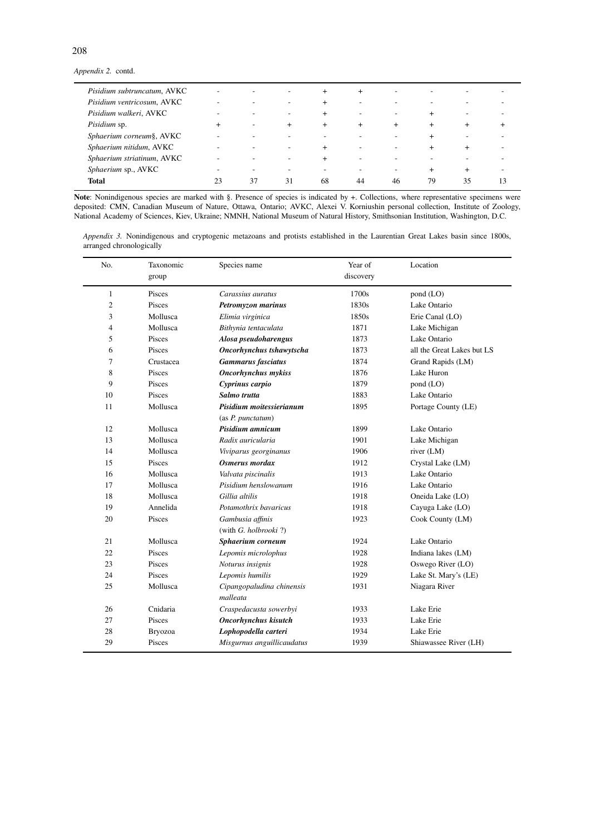*Appendix 2.* contd.

| Pisidium subtruncatum, AVKC | -         |                          |                          | $+$       | $^{+}$ |     |      |        |    |  |
|-----------------------------|-----------|--------------------------|--------------------------|-----------|--------|-----|------|--------|----|--|
| Pisidium ventricosum, AVKC  | ۰         |                          | -                        | $\ddot{}$ |        |     |      |        |    |  |
| Pisidium walkeri, AVKC      |           |                          | -                        | $\ddot{}$ |        |     |      |        |    |  |
| Pisidium sp.                | $\ddot{}$ | ٠                        | $\pm$                    | $^{+}$    | $+$    | $+$ | $^+$ | $^+$   |    |  |
| Sphaerium corneum§, AVKC    |           |                          |                          |           |        |     |      |        |    |  |
| Sphaerium nitidum, AVKC     | ۰         |                          | $\overline{\phantom{a}}$ | $\ddot{}$ |        |     | $^+$ | $\div$ |    |  |
| Sphaerium striatinum, AVKC  |           |                          |                          | $\div$    |        |     |      |        |    |  |
| Sphaerium sp., AVKC         |           | $\overline{\phantom{a}}$ |                          |           |        |     |      | $\div$ |    |  |
| <b>Total</b>                | 23        | 37                       | 31                       | 68        | 44     | 46  | 79   | 35     | 13 |  |
|                             |           |                          |                          |           |        |     |      |        |    |  |

Note: Nonindigenous species are marked with §. Presence of species is indicated by +. Collections, where representative specimens were deposited: CMN, Canadian Museum of Nature, Ottawa, Ontario; AVKC, Alexei V. Korniushin personal collection, Institute of Zoology, National Academy of Sciences, Kiev, Ukraine; NMNH, National Museum of Natural History, Smithsonian Institution, Washington, D.C.

*Appendix 3.* Nonindigenous and cryptogenic metazoans and protists established in the Laurentian Great Lakes basin since 1800s, arranged chronologically

| No.            | Taxonomic      | Species name                          | Year of   | Location                   |
|----------------|----------------|---------------------------------------|-----------|----------------------------|
|                | group          |                                       | discovery |                            |
| $\mathbf{1}$   | Pisces         | Carassius auratus                     | 1700s     | pond (LO)                  |
| $\mathfrak{2}$ | Pisces         | Petromyzon marinus                    | 1830s     | Lake Ontario               |
| 3              | Mollusca       | Elimia virginica                      | 1850s     | Erie Canal (LO)            |
| $\overline{4}$ | Mollusca       | Bithynia tentaculata                  | 1871      | Lake Michigan              |
| 5              | Pisces         | Alosa pseudoharengus                  | 1873      | Lake Ontario               |
| 6              | Pisces         | Oncorhynchus tshawytscha              | 1873      | all the Great Lakes but LS |
| 7              | Crustacea      | <b>Gammarus</b> fasciatus             | 1874      | Grand Rapids (LM)          |
| 8              | Pisces         | <b>Oncorhynchus</b> mykiss            | 1876      | Lake Huron                 |
| 9              | Pisces         | Cyprinus carpio                       | 1879      | pond (LO)                  |
| 10             | Pisces         | Salmo trutta                          | 1883      | Lake Ontario               |
| 11             | Mollusca       | Pisidium moitessierianum              | 1895      | Portage County (LE)        |
|                |                | (as P. punctatum)                     |           |                            |
| 12             | Mollusca       | Pisidium amnicum                      | 1899      | Lake Ontario               |
| 13             | Mollusca       | Radix auricularia                     | 1901      | Lake Michigan              |
| 14             | Mollusca       | Viviparus georginanus                 | 1906      | river (LM)                 |
| 15             | Pisces         | Osmerus mordax                        | 1912      | Crystal Lake (LM)          |
| 16             | Mollusca       | Valvata piscinalis                    | 1913      | Lake Ontario               |
| 17             | Mollusca       | Pisidium henslowanum                  | 1916      | Lake Ontario               |
| 18             | Mollusca       | Gillia altilis                        | 1918      | Oneida Lake (LO)           |
| 19             | Annelida       | Potamothrix bavaricus                 | 1918      | Cayuga Lake (LO)           |
| 20             | Pisces         | Gambusia affinis                      | 1923      | Cook County (LM)           |
|                |                | (with G. holbrooki?)                  |           |                            |
| 21             | Mollusca       | Sphaerium corneum                     | 1924      | Lake Ontario               |
| 22             | Pisces         | Lepomis microlophus                   | 1928      | Indiana lakes (LM)         |
| 23             | Pisces         | Noturus insignis                      | 1928      | Oswego River (LO)          |
| 24             | Pisces         | Lepomis humilis                       | 1929      | Lake St. Mary's (LE)       |
| 25             | Mollusca       | Cipangopaludina chinensis<br>malleata | 1931      | Niagara River              |
| 26             | Cnidaria       | Craspedacusta sowerbyi                | 1933      | Lake Erie                  |
| 27             | Pisces         | Oncorhynchus kisutch                  | 1933      | Lake Erie                  |
| 28             | <b>Bryozoa</b> | Lophopodella carteri                  | 1934      | Lake Erie                  |
| 29             | Pisces         | Misgurnus anguillicaudatus            | 1939      | Shiawassee River (LH)      |
|                |                |                                       |           |                            |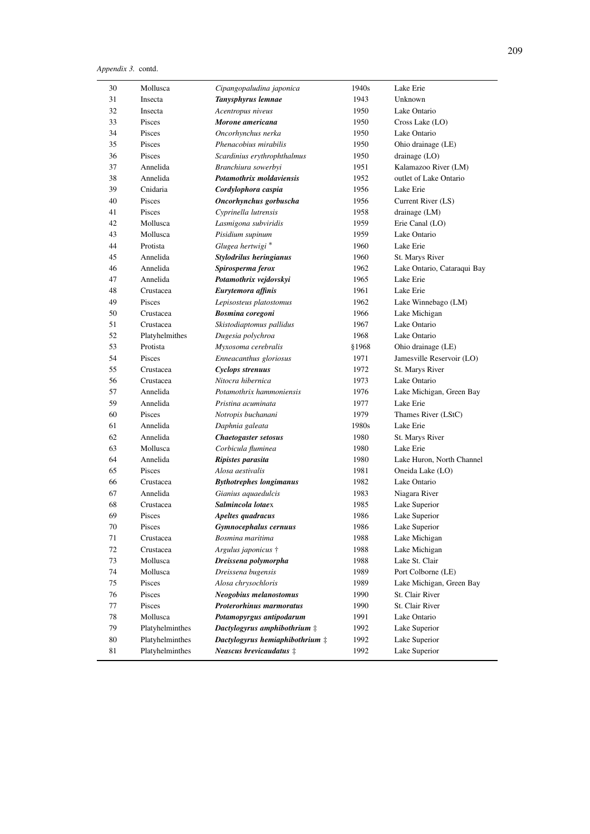| 30     | Mollusca               | Cipangopaludina japonica                  | 1940s | Lake Erie                   |
|--------|------------------------|-------------------------------------------|-------|-----------------------------|
| 31     | Insecta                | Tanysphyrus lemnae                        | 1943  | Unknown                     |
| 32     | Insecta                | Acentropus niveus                         | 1950  | Lake Ontario                |
| 33     | Pisces                 | Morone americana                          | 1950  | Cross Lake (LO)             |
| 34     | Pisces                 | Oncorhynchus nerka                        | 1950  | Lake Ontario                |
| 35     | Pisces                 | Phenacobius mirabilis                     | 1950  | Ohio drainage (LE)          |
| 36     | Pisces                 | Scardinius erythrophthalmus               | 1950  | drainage (LO)               |
| 37     | Annelida               | Branchiura sowerbyi                       | 1951  | Kalamazoo River (LM)        |
| 38     | Annelida               | Potamothrix moldaviensis                  | 1952  | outlet of Lake Ontario      |
| 39     | Cnidaria               | Cordylophora caspia                       | 1956  | Lake Erie                   |
| 40     | Pisces                 | Oncorhynchus gorbuscha                    | 1956  | Current River (LS)          |
| 41     | Pisces                 | Cyprinella lutrensis                      | 1958  | drainage (LM)               |
| 42     | Mollusca               | Lasmigona subviridis                      | 1959  | Erie Canal (LO)             |
| 43     | Mollusca               | Pisidium supinum                          | 1959  | Lake Ontario                |
| 44     | Protista               | Glugea hertwigi*                          | 1960  | Lake Erie                   |
| 45     | Annelida               | Stylodrilus heringianus                   | 1960  | St. Marys River             |
| 46     | Annelida               | Spirosperma ferox                         | 1962  | Lake Ontario, Cataraqui Bay |
| 47     | Annelida               | Potamothrix vejdovskyi                    | 1965  | Lake Erie                   |
| 48     | Crustacea              | Eurytemora affinis                        | 1961  | Lake Erie                   |
| 49     | Pisces                 | Lepisosteus platostomus                   | 1962  | Lake Winnebago (LM)         |
| 50     | Crustacea              | Bosmina coregoni                          | 1966  | Lake Michigan               |
| 51     | Crustacea              | Skistodiaptomus pallidus                  | 1967  | Lake Ontario                |
| 52     | Platyhelmithes         | Dugesia polychroa                         | 1968  | Lake Ontario                |
| 53     | Protista               | Myxosoma cerebralis                       | §1968 | Ohio drainage (LE)          |
| 54     | Pisces                 | Enneacanthus gloriosus                    | 1971  | Jamesville Reservoir (LO)   |
| 55     | Crustacea              | Cyclops strenuus                          | 1972  | St. Marys River             |
| 56     | Crustacea              | Nitocra hibernica                         | 1973  | Lake Ontario                |
| 57     | Annelida               | Potamothrix hammoniensis                  | 1976  | Lake Michigan, Green Bay    |
| 59     | Annelida               | Pristina acuminata                        | 1977  | Lake Erie                   |
| 60     | Pisces                 | Notropis buchanani                        | 1979  | Thames River (LStC)         |
| 61     | Annelida               | Daphnia galeata                           | 1980s | Lake Erie                   |
| 62     | Annelida               | <b>Chaetogaster setosus</b>               | 1980  | St. Marys River             |
| 63     | Mollusca               | Corbicula fluminea                        | 1980  | Lake Erie                   |
| 64     | Annelida               | Ripistes parasita                         | 1980  | Lake Huron, North Channel   |
| 65     | Pisces                 | Alosa aestivalis                          | 1981  | Oneida Lake (LO)            |
| 66     | Crustacea              | <b>Bythotrephes longimanus</b>            | 1982  | Lake Ontario                |
| 67     | Annelida               | Gianius aquaedulcis                       | 1983  | Niagara River               |
| 68     | Crustacea              | Salmincola lotaex                         | 1985  | Lake Superior               |
| 69     | Pisces                 | Apeltes quadracus                         | 1986  | Lake Superior               |
| $70\,$ | Pisces                 | Gymnocephalus cernuus                     | 1986  | Lake Superior               |
| 71     |                        | Bosmina maritima                          | 1988  | Lake Michigan               |
| 72     | Crustacea<br>Crustacea | Argulus japonicus †                       | 1988  | Lake Michigan               |
| 73     |                        |                                           | 1988  | Lake St. Clair              |
| 74     | Mollusca<br>Mollusca   | Dreissena polymorpha                      | 1989  |                             |
| 75     |                        | Dreissena bugensis<br>Alosa chrysochloris | 1989  | Port Colborne (LE)          |
|        | Pisces                 |                                           |       | Lake Michigan, Green Bay    |
| 76     | Pisces                 | Neogobius melanostomus                    | 1990  | St. Clair River             |
| 77     | Pisces                 | Proterorhinus marmoratus                  | 1990  | St. Clair River             |
| 78     | Mollusca               | Potamopyrgus antipodarum                  | 1991  | Lake Ontario                |
| 79     | Platyhelminthes        | Dactylogyrus amphibothrium $\ddagger$     | 1992  | Lake Superior               |
| 80     | Platyhelminthes        | Dactylogyrus hemiaphibothrium $\ddagger$  | 1992  | Lake Superior               |
| 81     | Platyhelminthes        | Neascus brevicaudatus ‡                   | 1992  | Lake Superior               |